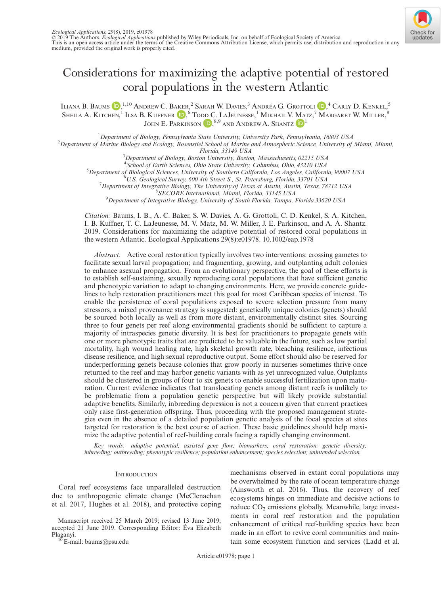# Considerations for maximizing the adaptive potential of restored coral populations in the western Atlantic

Iliana B. Baums (D),<sup>1,10</sup> Andrew C. Baker,<sup>2</sup> [S](https://orcid.org/0000-0001-6463-7308)arah W. Davies,<sup>3</sup> Andréa G. Grottoli (D),<sup>4</sup> Carly D. Kenkel,<sup>5</sup> Sheila A. Kitchen,<sup>1</sup> Ilsa B. Kuffner (D<sub>,</sub><sup>6</sup> Todd C. LaJeunesse,<sup>1</sup> Mikhail V. Matz,<sup>[7](https://orcid.org/0000-0001-6053-9452)</sup> Margaret W. Miller,<sup>8</sup> JOHN E. PARKINSON (D,<sup>8,9</sup> AND ANDREW A. SHANT[Z](https://orcid.org/0000-0001-5641-8914) (D<sup>1</sup>

<sup>1</sup>Department of Biology, Pennsylvania State University, University Park, Pennsylvania, 16803 USA <sup>1</sup> Department of Biology, Pennsylvania State University, University Park, Pennsylvania, 16803 USA<br><sup>2</sup> Department of Marine Biology and Ecology, Rosenstiel School of Marine and Atmospheric Science, University of Miami, Mia

Florida, 33149 USA<br><sup>3</sup> Department of Biology, Boston University, Boston, Massachusetts, 02215 USA 4 School of Earth Sciences, Ohio State University, Columbus, Ohio, 43210 USA<br>S Department of Piologiaal Sciences, University of Southern California, Lee Angeles, California <sup>5</sup>Department of Biological Sciences, University of Southern California, Los Angeles, California, 90007 USA U.S. Geological Survey, 600 4th Street S., St. Petersburg, Florida, 33701 USA <sup>7</sup> <sup>7</sup>Department of Integrative Biology, The University of Texas at Austin, Austin, Texas, 78712 USA SECORE International, Miami, Florida, 33145 USA <sup>9</sup>

 $^{9}$ Department of Integrative Biology, University of South Florida, Tampa, Florida 33620 USA

Citation: Baums, I. B., A. C. Baker, S. W. Davies, A. G. Grottoli, C. D. Kenkel, S. A. Kitchen, I. B. Kuffner, T. C. LaJeunesse, M. V. Matz, M. W. Miller, J. E. Parkinson, and A. A. Shantz. 2019. Considerations for maximizing the adaptive potential of restored coral populations in the western Atlantic. Ecological Applications 29(8):e01978. [10.1002/eap.1978](info:doi/10.1002/eap.1978)

Abstract. Active coral restoration typically involves two interventions: crossing gametes to facilitate sexual larval propagation; and fragmenting, growing, and outplanting adult colonies to enhance asexual propagation. From an evolutionary perspective, the goal of these efforts is to establish self-sustaining, sexually reproducing coral populations that have sufficient genetic and phenotypic variation to adapt to changing environments. Here, we provide concrete guidelines to help restoration practitioners meet this goal for most Caribbean species of interest. To enable the persistence of coral populations exposed to severe selection pressure from many stressors, a mixed provenance strategy is suggested: genetically unique colonies (genets) should be sourced both locally as well as from more distant, environmentally distinct sites. Sourcing three to four genets per reef along environmental gradients should be sufficient to capture a majority of intraspecies genetic diversity. It is best for practitioners to propagate genets with one or more phenotypic traits that are predicted to be valuable in the future, such as low partial mortality, high wound healing rate, high skeletal growth rate, bleaching resilience, infectious disease resilience, and high sexual reproductive output. Some effort should also be reserved for underperforming genets because colonies that grow poorly in nurseries sometimes thrive once returned to the reef and may harbor genetic variants with as yet unrecognized value. Outplants should be clustered in groups of four to six genets to enable successful fertilization upon maturation. Current evidence indicates that translocating genets among distant reefs is unlikely to be problematic from a population genetic perspective but will likely provide substantial adaptive benefits. Similarly, inbreeding depression is not a concern given that current practices only raise first-generation offspring. Thus, proceeding with the proposed management strategies even in the absence of a detailed population genetic analysis of the focal species at sites targeted for restoration is the best course of action. These basic guidelines should help maximize the adaptive potential of reef-building corals facing a rapidly changing environment.

Key words: adaptive potential; assisted gene flow; biomarkers; coral restoration; genetic diversity; inbreeding; outbreeding; phenotypic resilience; population enhancement; species selection; unintended selection.

#### **INTRODUCTION**

Coral reef ecosystems face unparalleled destruction due to anthropogenic climate change (McClenachan et al. 2017, Hughes et al. 2018), and protective coping

Manuscript received 25 March 2019; revised 13 June 2019; accepted 21 June 2019. Corresponding Editor: Eva Elizabeth Plaganyi.<br><sup>10</sup>E-mail: [baums@psu.edu](mailto:)

mechanisms observed in extant coral populations may be overwhelmed by the rate of ocean temperature change (Ainsworth et al. 2016). Thus, the recovery of reef ecosystems hinges on immediate and decisive actions to reduce  $CO<sub>2</sub>$  emissions globally. Meanwhile, large investments in coral reef restoration and the population enhancement of critical reef-building species have been made in an effort to revive coral communities and maintain some ecosystem function and services (Ladd et al.

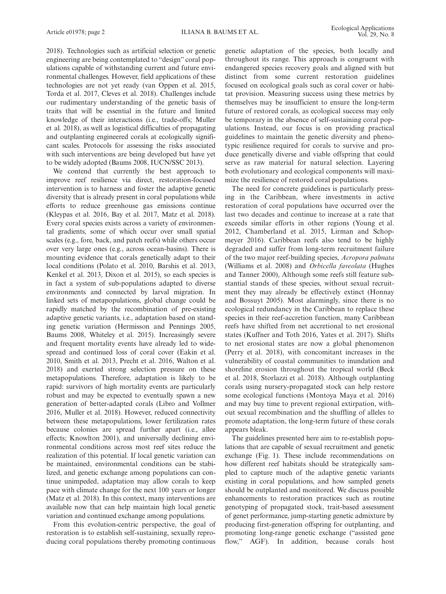2018). Technologies such as artificial selection or genetic engineering are being contemplated to "design" coral populations capable of withstanding current and future environmental challenges. However, field applications of these technologies are not yet ready (van Oppen et al. 2015, Torda et al. 2017, Cleves et al. 2018). Challenges include our rudimentary understanding of the genetic basis of traits that will be essential in the future and limited knowledge of their interactions (i.e., trade-offs; Muller et al. 2018), as well as logistical difficulties of propagating and outplanting engineered corals at ecologically significant scales. Protocols for assessing the risks associated with such interventions are being developed but have yet to be widely adopted (Baums 2008, IUCN/SSC 2013).

We contend that currently the best approach to improve reef resilience via direct, restoration-focused intervention is to harness and foster the adaptive genetic diversity that is already present in coral populations while efforts to reduce greenhouse gas emissions continue (Kleypas et al. 2016, Bay et al. 2017, Matz et al. 2018). Every coral species exists across a variety of environmental gradients, some of which occur over small spatial scales (e.g., fore, back, and patch reefs) while others occur over very large ones (e.g., across ocean-basins). There is mounting evidence that corals genetically adapt to their local conditions (Polato et al. 2010, Barshis et al. 2013, Kenkel et al. 2013, Dixon et al. 2015), so each species is in fact a system of sub-populations adapted to diverse environments and connected by larval migration. In linked sets of metapopulations, global change could be rapidly matched by the recombination of pre-existing adaptive genetic variants, i.e., adaptation based on standing genetic variation (Hermisson and Pennings 2005, Baums 2008, Whiteley et al. 2015). Increasingly severe and frequent mortality events have already led to widespread and continued loss of coral cover (Eakin et al. 2010, Smith et al. 2013, Precht et al. 2016, Walton et al. 2018) and exerted strong selection pressure on these metapopulations. Therefore, adaptation is likely to be rapid: survivors of high mortality events are particularly robust and may be expected to eventually spawn a new generation of better-adapted corals (Libro and Vollmer 2016, Muller et al. 2018). However, reduced connectivity between these metapopulations, lower fertilization rates because colonies are spread further apart (i.e., allee effects; Knowlton 2001), and universally declining environmental conditions across most reef sites reduce the realization of this potential. If local genetic variation can be maintained, environmental conditions can be stabilized, and genetic exchange among populations can continue unimpeded, adaptation may allow corals to keep pace with climate change for the next 100 years or longer (Matz et al. 2018). In this context, many interventions are available now that can help maintain high local genetic variation and continued exchange among populations.

From this evolution-centric perspective, the goal of restoration is to establish self-sustaining, sexually reproducing coral populations thereby promoting continuous genetic adaptation of the species, both locally and throughout its range. This approach is congruent with endangered species recovery goals and aligned with but distinct from some current restoration guidelines focused on ecological goals such as coral cover or habitat provision. Measuring success using these metrics by themselves may be insufficient to ensure the long-term future of restored corals, as ecological success may only be temporary in the absence of self-sustaining coral populations. Instead, our focus is on providing practical guidelines to maintain the genetic diversity and phenotypic resilience required for corals to survive and produce genetically diverse and viable offspring that could serve as raw material for natural selection. Layering both evolutionary and ecological components will maximize the resilience of restored coral populations.

The need for concrete guidelines is particularly pressing in the Caribbean, where investments in active restoration of coral populations have occurred over the last two decades and continue to increase at a rate that exceeds similar efforts in other regions (Young et al. 2012, Chamberland et al. 2015, Lirman and Schopmeyer 2016). Caribbean reefs also tend to be highly degraded and suffer from long-term recruitment failure of the two major reef-building species, Acropora palmata (Williams et al. 2008) and Orbicella faveolata (Hughes and Tanner 2000), Although some reefs still feature substantial stands of these species, without sexual recruitment they may already be effectively extinct (Honnay and Bossuyt 2005). Most alarmingly, since there is no ecological redundancy in the Caribbean to replace these species in their reef-accretion function, many Caribbean reefs have shifted from net accretional to net erosional states (Kuffner and Toth 2016, Yates et al. 2017). Shifts to net erosional states are now a global phenomenon (Perry et al. 2018), with concomitant increases in the vulnerability of coastal communities to inundation and shoreline erosion throughout the tropical world (Beck et al. 2018, Storlazzi et al. 2018). Although outplanting corals using nursery-propagated stock can help restore some ecological functions (Montoya Maya et al. 2016) and may buy time to prevent regional extirpation, without sexual recombination and the shuffling of alleles to promote adaptation, the long-term future of these corals appears bleak.

The guidelines presented here aim to re-establish populations that are capable of sexual recruitment and genetic exchange (Fig. 1). These include recommendations on how different reef habitats should be strategically sampled to capture much of the adaptive genetic variants existing in coral populations, and how sampled genets should be outplanted and monitored. We discuss possible enhancements to restoration practices such as routine genotyping of propagated stock, trait-based assessment of genet performance, jump-starting genetic admixture by producing first-generation offspring for outplanting, and promoting long-range genetic exchange ("assisted gene flow," AGF). In addition, because corals host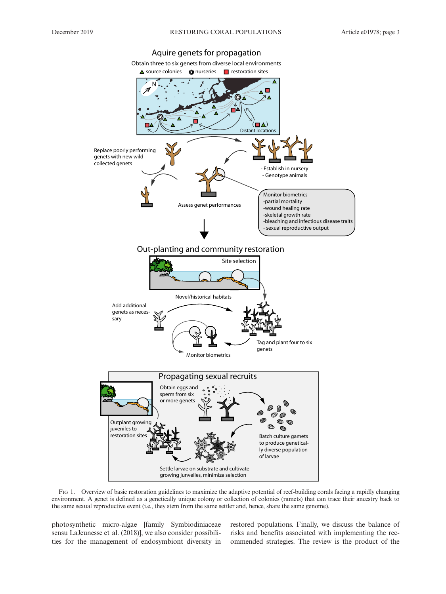

## Aquire genets for propagation

FIG 1. Overview of basic restoration guidelines to maximize the adaptive potential of reef-building corals facing a rapidly changing environment. A genet is defined as a genetically unique colony or collection of colonies (ramets) that can trace their ancestry back to the same sexual reproductive event (i.e., they stem from the same settler and, hence, share the same genome).

photosynthetic micro-algae [family Symbiodiniaceae sensu LaJeunesse et al. (2018)], we also consider possibilities for the management of endosymbiont diversity in restored populations. Finally, we discuss the balance of risks and benefits associated with implementing the recommended strategies. The review is the product of the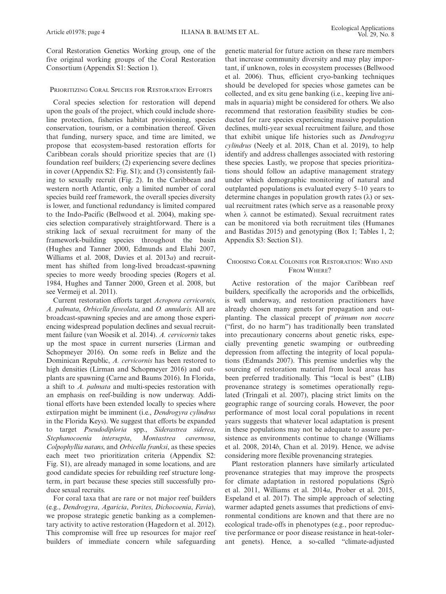Coral Restoration Genetics Working group, one of the five original working groups of the Coral Restoration Consortium (Appendix S1: Section 1).

# PRIORITIZING CORAL SPECIES FOR RESTORATION EFFORTS

Coral species selection for restoration will depend upon the goals of the project, which could include shoreline protection, fisheries habitat provisioning, species conservation, tourism, or a combination thereof. Given that funding, nursery space, and time are limited, we propose that ecosystem-based restoration efforts for Caribbean corals should prioritize species that are (1) foundation reef builders; (2) experiencing severe declines in cover (Appendix S2: Fig. S1); and (3) consistently failing to sexually recruit (Fig. 2). In the Caribbean and western north Atlantic, only a limited number of coral species build reef framework, the overall species diversity is lower, and functional redundancy is limited compared to the Indo-Pacific (Bellwood et al. 2004), making species selection comparatively straightforward. There is a striking lack of sexual recruitment for many of the framework-building species throughout the basin (Hughes and Tanner 2000, Edmunds and Elahi 2007, Williams et al. 2008, Davies et al. 2013a) and recruitment has shifted from long-lived broadcast-spawning species to more weedy brooding species (Rogers et al. 1984, Hughes and Tanner 2000, Green et al. 2008, but see Vermeij et al. 2011).

Current restoration efforts target Acropora cervicornis, A. palmata, Orbicella faveolata, and O. annularis. All are broadcast-spawning species and are among those experiencing widespread population declines and sexual recruitment failure (van Woesik et al. 2014). A. cervicornis takes up the most space in current nurseries (Lirman and Schopmeyer 2016). On some reefs in Belize and the Dominican Republic, A. cervicornis has been restored to high densities (Lirman and Schopmeyer 2016) and outplants are spawning (Carne and Baums 2016). In Florida, a shift to A. palmata and multi-species restoration with an emphasis on reef-building is now underway. Additional efforts have been extended locally to species where extirpation might be imminent (i.e., Dendrogyra cylindrus in the Florida Keys). We suggest that efforts be expanded to target Pseudodiploria spp., Siderastrea siderea, Stephanocoenia intersepta, Montastrea cavernosa, Colpophyllia natans, and Orbicella franksi, as these species each meet two prioritization criteria (Appendix S2: Fig. S1), are already managed in some locations, and are good candidate species for rebuilding reef structure longterm, in part because these species still successfully produce sexual recruits.

For coral taxa that are rare or not major reef builders (e.g., Dendrogyra, Agaricia, Porites, Dichocoenia, Favia), we propose strategic genetic banking as a complementary activity to active restoration (Hagedorn et al. 2012). This compromise will free up resources for major reef builders of immediate concern while safeguarding genetic material for future action on these rare members that increase community diversity and may play important, if unknown, roles in ecosystem processes (Bellwood et al. 2006). Thus, efficient cryo-banking techniques should be developed for species whose gametes can be collected, and ex situ gene banking (i.e., keeping live animals in aquaria) might be considered for others. We also recommend that restoration feasibility studies be conducted for rare species experiencing massive population declines, multi-year sexual recruitment failure, and those that exhibit unique life histories such as Dendrogyra cylindrus (Neely et al. 2018, Chan et al. 2019), to help identify and address challenges associated with restoring these species. Lastly, we propose that species prioritizations should follow an adaptive management strategy under which demographic monitoring of natural and outplanted populations is evaluated every 5–10 years to determine changes in population growth rates  $(\lambda)$  or sexual recruitment rates (which serve as a reasonable proxy when  $\lambda$  cannot be estimated). Sexual recruitment rates can be monitored via both recruitment tiles (Humanes and Bastidas 2015) and genotyping (Box 1; Tables 1, 2; Appendix S3: Section S1).

# CHOOSING CORAL COLONIES FOR RESTORATION: WHO AND FROM WHERE?

Active restoration of the major Caribbean reef builders, specifically the acroporids and the orbicellids, is well underway, and restoration practitioners have already chosen many genets for propagation and outplanting. The classical precept of primum non nocere ("first, do no harm") has traditionally been translated into precautionary concerns about genetic risks, especially preventing genetic swamping or outbreeding depression from affecting the integrity of local populations (Edmands 2007). This premise underlies why the sourcing of restoration material from local areas has been preferred traditionally. This "local is best" (LIB) provenance strategy is sometimes operationally regulated (Tringali et al. 2007), placing strict limits on the geographic range of sourcing corals. However, the poor performance of most local coral populations in recent years suggests that whatever local adaptation is present in these populations may not be adequate to assure persistence as environments continue to change (Williams et al. 2008, 2014b, Chan et al. 2019). Hence, we advise considering more flexible provenancing strategies.

Plant restoration planners have similarly articulated provenance strategies that may improve the prospects for climate adaptation in restored populations (Sgrò et al. 2011, Williams et al. 2014a, Prober et al. 2015, Espeland et al. 2017). The simple approach of selecting warmer adapted genets assumes that predictions of environmental conditions are known and that there are no ecological trade-offs in phenotypes (e.g., poor reproductive performance or poor disease resistance in heat-tolerant genets). Hence, a so-called "climate-adjusted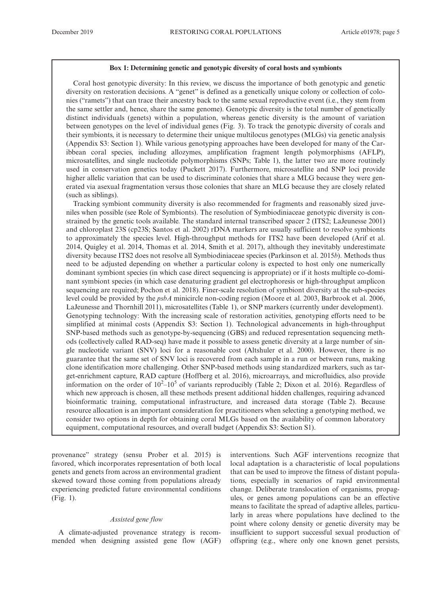#### Box 1: Determining genetic and genotypic diversity of coral hosts and symbionts

Coral host genotypic diversity: In this review, we discuss the importance of both genotypic and genetic diversity on restoration decisions. A "genet" is defined as a genetically unique colony or collection of colonies ("ramets") that can trace their ancestry back to the same sexual reproductive event (i.e., they stem from the same settler and, hence, share the same genome). Genotypic diversity is the total number of genetically distinct individuals (genets) within a population, whereas genetic diversity is the amount of variation between genotypes on the level of individual genes (Fig. 3). To track the genotypic diversity of corals and their symbionts, it is necessary to determine their unique multilocus genotypes (MLGs) via genetic analysis (Appendix S3: Section 1). While various genotyping approaches have been developed for many of the Caribbean coral species, including allozymes, amplification fragment length polymorphisms (AFLP), microsatellites, and single nucleotide polymorphisms (SNPs; Table 1), the latter two are more routinely used in conservation genetics today (Puckett 2017). Furthermore, microsatellite and SNP loci provide higher allelic variation that can be used to discriminate colonies that share a MLG because they were generated via asexual fragmentation versus those colonies that share an MLG because they are closely related (such as siblings).

Tracking symbiont community diversity is also recommended for fragments and reasonably sized juveniles when possible (see Role of Symbionts). The resolution of Symbiodiniaceae genotypic diversity is constrained by the genetic tools available. The standard internal transcribed spacer 2 (ITS2; LaJeunesse 2001) and chloroplast 23S (cp23S; Santos et al. 2002) rDNA markers are usually sufficient to resolve symbionts to approximately the species level. High-throughput methods for ITS2 have been developed (Arif et al. 2014, Quigley et al. 2014, Thomas et al. 2014, Smith et al. 2017), although they inevitably underestimate diversity because ITS2 does not resolve all Symbiodiniaceae species (Parkinson et al. 2015b). Methods thus need to be adjusted depending on whether a particular colony is expected to host only one numerically dominant symbiont species (in which case direct sequencing is appropriate) or if it hosts multiple co-dominant symbiont species (in which case denaturing gradient gel electrophoresis or high-throughput amplicon sequencing are required; Pochon et al. 2018). Finer-scale resolution of symbiont diversity at the sub-species level could be provided by the psbA minicircle non-coding region (Moore et al. 2003, Barbrook et al. 2006, LaJeunesse and Thornhill 2011), microsatellites (Table 1), or SNP markers (currently under development). Genotyping technology: With the increasing scale of restoration activities, genotyping efforts need to be simplified at minimal costs (Appendix S3: Section 1). Technological advancements in high-throughput SNP-based methods such as genotype-by-sequencing (GBS) and reduced representation sequencing methods (collectively called RAD-seq) have made it possible to assess genetic diversity at a large number of single nucleotide variant (SNV) loci for a reasonable cost (Altshuler et al. 2000). However, there is no guarantee that the same set of SNV loci is recovered from each sample in a run or between runs, making clone identification more challenging. Other SNP-based methods using standardized markers, such as target-enrichment capture, RAD capture (Hoffberg et al. 2016), microarrays, and microfluidics, also provide information on the order of  $10^2$ – $10^5$  of variants reproducibly (Table 2; Dixon et al. 2016). Regardless of which new approach is chosen, all these methods present additional hidden challenges, requiring advanced bioinformatic training, computational infrastructure, and increased data storage (Table 2). Because resource allocation is an important consideration for practitioners when selecting a genotyping method, we consider two options in depth for obtaining coral MLGs based on the availability of common laboratory equipment, computational resources, and overall budget (Appendix S3: Section S1).

provenance" strategy (sensu Prober et al. 2015) is favored, which incorporates representation of both local genets and genets from across an environmental gradient skewed toward those coming from populations already experiencing predicted future environmental conditions (Fig. 1).

# Assisted gene flow

A climate-adjusted provenance strategy is recommended when designing assisted gene flow (AGF)

interventions. Such AGF interventions recognize that local adaptation is a characteristic of local populations that can be used to improve the fitness of distant populations, especially in scenarios of rapid environmental change. Deliberate translocation of organisms, propagules, or genes among populations can be an effective means to facilitate the spread of adaptive alleles, particularly in areas where populations have declined to the point where colony density or genetic diversity may be insufficient to support successful sexual production of offspring (e.g., where only one known genet persists,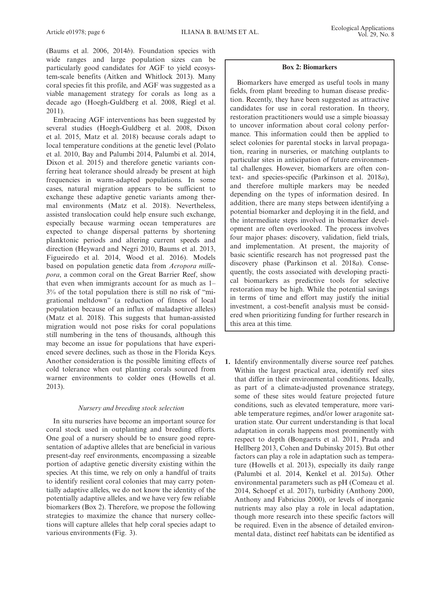(Baums et al. 2006, 2014b). Foundation species with wide ranges and large population sizes can be particularly good candidates for AGF to yield ecosystem-scale benefits (Aitken and Whitlock 2013). Many coral species fit this profile, and AGF was suggested as a viable management strategy for corals as long as a decade ago (Hoegh-Guldberg et al. 2008, Riegl et al. 2011).

Embracing AGF interventions has been suggested by several studies (Hoegh-Guldberg et al. 2008, Dixon et al. 2015, Matz et al. 2018) because corals adapt to local temperature conditions at the genetic level (Polato et al. 2010, Bay and Palumbi 2014, Palumbi et al. 2014, Dixon et al. 2015) and therefore genetic variants conferring heat tolerance should already be present at high frequencies in warm-adapted populations. In some cases, natural migration appears to be sufficient to exchange these adaptive genetic variants among thermal environments (Matz et al. 2018). Nevertheless, assisted translocation could help ensure such exchange, especially because warming ocean temperatures are expected to change dispersal patterns by shortening planktonic periods and altering current speeds and direction (Heyward and Negri 2010, Baums et al. 2013, Figueiredo et al. 2014, Wood et al. 2016). Models based on population genetic data from Acropora millepora, a common coral on the Great Barrier Reef, show that even when immigrants account for as much as 1– 3% of the total population there is still no risk of "migrational meltdown" (a reduction of fitness of local population because of an influx of maladaptive alleles) (Matz et al. 2018). This suggests that human-assisted migration would not pose risks for coral populations still numbering in the tens of thousands, although this may become an issue for populations that have experienced severe declines, such as those in the Florida Keys. Another consideration is the possible limiting effects of cold tolerance when out planting corals sourced from warner environments to colder ones (Howells et al. 2013).

# Nursery and breeding stock selection

In situ nurseries have become an important source for coral stock used in outplanting and breeding efforts. One goal of a nursery should be to ensure good representation of adaptive alleles that are beneficial in various present-day reef environments, encompassing a sizeable portion of adaptive genetic diversity existing within the species. At this time, we rely on only a handful of traits to identify resilient coral colonies that may carry potentially adaptive alleles, we do not know the identity of the potentially adaptive alleles, and we have very few reliable biomarkers (Box 2). Therefore, we propose the following strategies to maximize the chance that nursery collections will capture alleles that help coral species adapt to various environments (Fig. 3).

# Box 2: Biomarkers

Biomarkers have emerged as useful tools in many fields, from plant breeding to human disease prediction. Recently, they have been suggested as attractive candidates for use in coral restoration. In theory, restoration practitioners would use a simple bioassay to uncover information about coral colony performance. This information could then be applied to select colonies for parental stocks in larval propagation, rearing in nurseries, or matching outplants to particular sites in anticipation of future environmental challenges. However, biomarkers are often context- and species-specific (Parkinson et al. 2018a), and therefore multiple markers may be needed depending on the types of information desired. In addition, there are many steps between identifying a potential biomarker and deploying it in the field, and the intermediate steps involved in biomarker development are often overlooked. The process involves four major phases: discovery, validation, field trials, and implementation. At present, the majority of basic scientific research has not progressed past the discovery phase (Parkinson et al. 2018a). Consequently, the costs associated with developing practical biomarkers as predictive tools for selective restoration may be high. While the potential savings in terms of time and effort may justify the initial investment, a cost-benefit analysis must be considered when prioritizing funding for further research in this area at this time.

1. Identify environmentally diverse source reef patches. Within the largest practical area, identify reef sites that differ in their environmental conditions. Ideally, as part of a climate-adjusted provenance strategy, some of these sites would feature projected future conditions, such as elevated temperature, more variable temperature regimes, and/or lower aragonite saturation state. Our current understanding is that local adaptation in corals happens most prominently with respect to depth (Bongaerts et al. 2011, Prada and Hellberg 2013, Cohen and Dubinsky 2015). But other factors can play a role in adaptation such as temperature (Howells et al. 2013), especially its daily range (Palumbi et al. 2014, Kenkel et al. 2015a). Other environmental parameters such as pH (Comeau et al. 2014, Schoepf et al. 2017), turbidity (Anthony 2000, Anthony and Fabricius 2000), or levels of inorganic nutrients may also play a role in local adaptation, though more research into these specific factors will be required. Even in the absence of detailed environmental data, distinct reef habitats can be identified as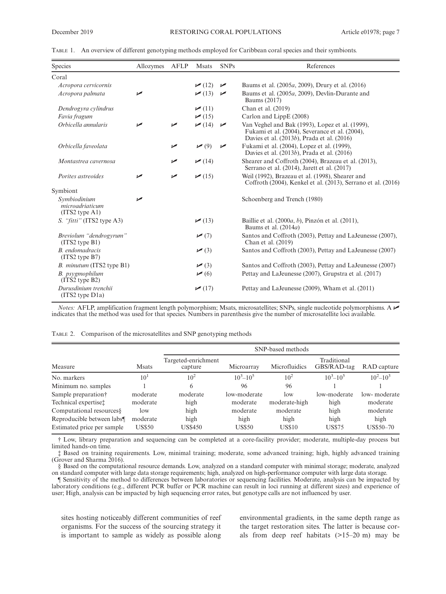| Species                                           | Allozymes | AFLP | Msats                      | <b>SNPs</b> | References                                                                                                                                           |
|---------------------------------------------------|-----------|------|----------------------------|-------------|------------------------------------------------------------------------------------------------------------------------------------------------------|
| Coral                                             |           |      |                            |             |                                                                                                                                                      |
| Acropora cervicornis                              |           |      | $\blacktriangleright$ (12) | ↙           | Baums et al. (2005 <i>a</i> , 2009), Drury et al. (2016)                                                                                             |
| Acropora palmata                                  | ممرا      |      | $\swarrow$ (13)            | ↙           | Baums et al. (2005a, 2009), Devlin-Durante and<br>Baums (2017)                                                                                       |
| Dendrogyra cylindrus                              |           |      | $\blacktriangleright$ (11) |             | Chan et al. (2019)                                                                                                                                   |
| Favia fragum                                      |           |      | $\swarrow$ (15)            |             | Carlon and LippE (2008)                                                                                                                              |
| Orbicella annularis                               | ممرا      | مما  | $\swarrow$ (14)            | ➤           | Van Veghel and Bak (1993), Lopez et al. (1999),<br>Fukami et al. (2004), Severance et al. (2004),<br>Davies et al. $(2013b)$ , Prada et al. $(2016)$ |
| Orbicella faveolata                               |           | مما  | $\blacktriangleright$ (9)  | مما         | Fukami et al. (2004), Lopez et al. (1999),<br>Davies et al. $(2013b)$ , Prada et al. $(2016)$                                                        |
| Montastrea cavernosa                              |           | مما  | $\swarrow$ (14)            |             | Shearer and Coffroth (2004), Brazeau et al. (2013),<br>Serrano et al. (2014), Jarett et al. (2017)                                                   |
| Porites astreoides                                | ممرا      | مما  | $\swarrow$ (15)            |             | Weil (1992), Brazeau et al. (1998), Shearer and<br>Coffroth (2004), Kenkel et al. (2013), Serrano et al. (2016)                                      |
| Symbiont                                          |           |      |                            |             |                                                                                                                                                      |
| Symbiodinium<br>microadriaticum<br>(ITS2 type A1) | مما       |      |                            |             | Schoenberg and Trench (1980)                                                                                                                         |
| S. "fitti" (ITS2 type A3)                         |           |      | $\swarrow$ (13)            |             | Baillie et al. $(2000a, b)$ , Pinzón et al. $(2011)$ ,<br>Baums et al. $(2014a)$                                                                     |
| Breviolum "dendrogyrum"<br>(TTS2 type B1)         |           |      | $\boldsymbol{\nu}(7)$      |             | Santos and Coffroth (2003), Pettay and LaJeunesse (2007),<br>Chan et al. (2019)                                                                      |
| <b>B</b> . endomadracis<br>(TTS2 type B7)         |           |      | $\blacktriangleright$ (3)  |             | Santos and Coffroth (2003), Pettay and LaJeunesse (2007)                                                                                             |
| B. minutum (ITS2 type B1)                         |           |      | $\blacktriangleright$ (3)  |             | Santos and Coffroth (2003), Pettay and LaJeunesse (2007)                                                                                             |
| B. psygmophilum<br>(TTS2 type B2)                 |           |      | $\blacktriangleright$ (6)  |             | Pettay and LaJeunesse (2007), Grupstra et al. (2017)                                                                                                 |
| Durusdinium trenchii<br>(ITS2 type D1a)           |           |      | $\blacktriangleright$ (17) |             | Pettay and LaJeunesse (2009), Wham et al. (2011)                                                                                                     |

TABLE 1. An overview of different genotyping methods employed for Caribbean coral species and their symbionts.

Notes: AFLP, amplification fragment length polymorphism; Msats, microsatellites; SNPs, single nucleotide polymorphisms. A indicates that the method was used for that species. Numbers in parenthesis give the number of microsatellite loci available.

|  |  |  | TABLE 2. Comparison of the microsatellites and SNP genotyping methods |
|--|--|--|-----------------------------------------------------------------------|
|  |  |  |                                                                       |

|                                 |                 | SNP-based methods              |               |               |                            |               |  |
|---------------------------------|-----------------|--------------------------------|---------------|---------------|----------------------------|---------------|--|
| Measure                         | <b>Msats</b>    | Targeted-enrichment<br>capture | Microarray    | Microfluidics | Traditional<br>GBS/RAD-tag | RAD capture   |  |
| No. markers                     | 10 <sup>1</sup> | $10^2$                         | $10^3 - 10^5$ | $10^2$        | $10^3 - 10^5$              | $10^2 - 10^3$ |  |
| Minimum no. samples             |                 | 6                              | 96            | 96            |                            |               |  |
| Sample preparation <sup>†</sup> | moderate        | moderate                       | low-moderate  | low           | low-moderate               | low-moderate  |  |
| Technical expertise†            | moderate        | high                           | moderate      | moderate-high | high                       | moderate      |  |
| Computational resources §       | low             | high                           | moderate      | moderate      | high                       | moderate      |  |
| Reproducible between labs¶      | moderate        | high                           | high          | high          | high                       | high          |  |
| Estimated price per sample      | <b>US\$50</b>   | <b>US\$450</b>                 | <b>US\$50</b> | <b>US\$10</b> | <b>US\$75</b>              | US\$50-70     |  |

† Low, library preparation and sequencing can be completed at a core-facility provider; moderate, multiple-day process but limited hands-on time.

‡ Based on training requirements. Low, minimal training; moderate, some advanced training; high, highly advanced training (Grover and Sharma 2016).

§ Based on the computational resource demands. Low, analyzed on a standard computer with minimal storage; moderate, analyzed on standard computer with large data storage requirements; high, analyzed on high-performance computer with large data storage.

¶ Sensitivity of the method to differences between laboratories or sequencing facilities. Moderate, analysis can be impacted by laboratory conditions (e.g., different PCR buffer or PCR machine can result in loci running at different sizes) and experience of user; High, analysis can be impacted by high sequencing error rates, but genotype calls are not influenced by user.

sites hosting noticeably different communities of reef organisms. For the success of the sourcing strategy it is important to sample as widely as possible along

environmental gradients, in the same depth range as the target restoration sites. The latter is because corals from deep reef habitats  $(>15-20 \text{ m})$  may be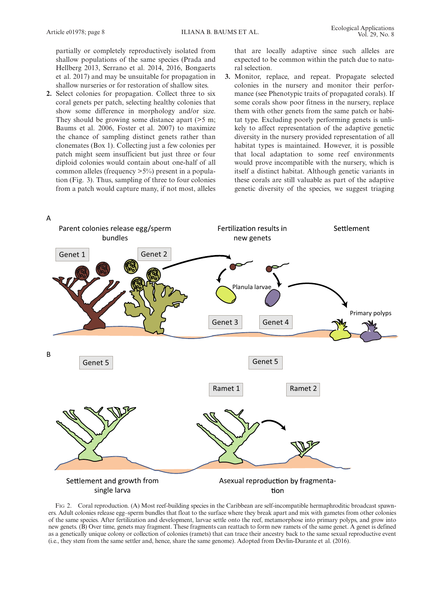partially or completely reproductively isolated from shallow populations of the same species (Prada and Hellberg 2013, Serrano et al. 2014, 2016, Bongaerts et al. 2017) and may be unsuitable for propagation in shallow nurseries or for restoration of shallow sites.

2. Select colonies for propagation. Collect three to six coral genets per patch, selecting healthy colonies that show some difference in morphology and/or size. They should be growing some distance apart (>5 m; Baums et al. 2006, Foster et al. 2007) to maximize the chance of sampling distinct genets rather than clonemates (Box 1). Collecting just a few colonies per patch might seem insufficient but just three or four diploid colonies would contain about one-half of all common alleles (frequency >5%) present in a population (Fig. 3). Thus, sampling of three to four colonies from a patch would capture many, if not most, alleles

that are locally adaptive since such alleles are expected to be common within the patch due to natural selection.

3. Monitor, replace, and repeat. Propagate selected colonies in the nursery and monitor their performance (see Phenotypic traits of propagated corals). If some corals show poor fitness in the nursery, replace them with other genets from the same patch or habitat type. Excluding poorly performing genets is unlikely to affect representation of the adaptive genetic diversity in the nursery provided representation of all habitat types is maintained. However, it is possible that local adaptation to some reef environments would prove incompatible with the nursery, which is itself a distinct habitat. Although genetic variants in these corals are still valuable as part of the adaptive genetic diversity of the species, we suggest triaging



FIG 2. Coral reproduction. (A) Most reef-building species in the Caribbean are self-incompatible hermaphroditic broadcast spawners. Adult colonies release egg–sperm bundles that float to the surface where they break apart and mix with gametes from other colonies of the same species. After fertilization and development, larvae settle onto the reef, metamorphose into primary polyps, and grow into new genets. (B) Over time, genets may fragment. These fragments can reattach to form new ramets of the same genet. A genet is defined as a genetically unique colony or collection of colonies (ramets) that can trace their ancestry back to the same sexual reproductive event (i.e., they stem from the same settler and, hence, share the same genome). Adopted from Devlin-Durante et al. (2016).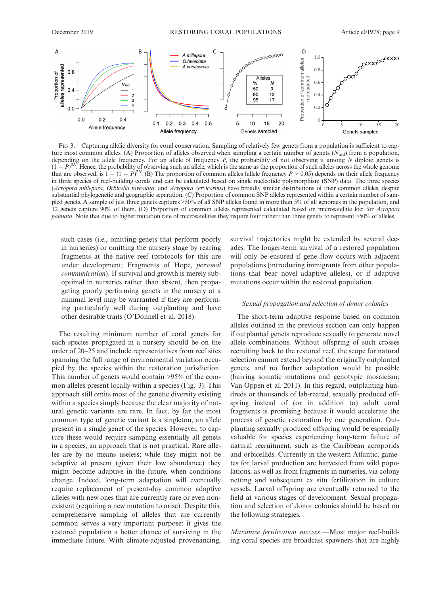

FIG 3. Capturing allelic diversity for coral conservation. Sampling of relatively few genets from a population is sufficient to capture most common alleles. (A) Proportion of alleles observed when sampling a certain number of genets  $(N_{\text{ind}})$  from a population, depending on the allele frequency. For an allele of frequency  $P$ , the probability of not observing it among  $N$  diploid genets is  $(1 - P)^{2N}$ . Hence, the probability of observing such an allele, which is the same as the proportion of such alleles across the whole genome that are observed, is  $1 - (1 - P)^{2N}$ . (B) The proportion of common alleles (allele frequency  $P > 0.05$ ) depends on their allele frequency in three species of reef-building corals and can be calculated based on single nucleotide polymorphism (SNP) data. The three species (Acropora millepora, Orbicella faveolata, and Acropora cervicornus) have broadly similar distributions of their common alleles, despite substantial phylogenetic and geographic separation. (C) Proportion of common SNP alleles represented within a certain number of sampled genets. A sample of just three genets captures >50% of all SNP alleles found in more than 5% of all genomes in the population, and 12 genets capture 90% of them. (D) Proportion of common alleles represented calculated based on microsatellite loci for Acropora palmata. Note that due to higher mutation rate of microsatellites they require four rather than three genets to represent >50% of alleles.

such cases (i.e., omitting genets that perform poorly in nurseries) or omitting the nursery stage by rearing fragments at the native reef (protocols for this are under development; Fragments of Hope, personal communication). If survival and growth is merely suboptimal in nurseries rather than absent, then propagating poorly performing genets in the nursery at a minimal level may be warranted if they are performing particularly well during outplanting and have other desirable traits (O'Donnell et al. 2018).

The resulting minimum number of coral genets for each species propagated in a nursery should be on the order of 20–25 and include representatives from reef sites spanning the full range of environmental variation occupied by the species within the restoration jurisdiction. This number of genets would contain >95% of the common alleles present locally within a species (Fig. 3). This approach still omits most of the genetic diversity existing within a species simply because the clear majority of natural genetic variants are rare. In fact, by far the most common type of genetic variant is a singleton, an allele present in a single genet of the species. However, to capture these would require sampling essentially all genets in a species, an approach that is not practical. Rare alleles are by no means useless; while they might not be adaptive at present (given their low abundance) they might become adaptive in the future, when conditions change. Indeed, long-term adaptation will eventually require replacement of present-day common adaptive alleles with new ones that are currently rare or even nonexistent (requiring a new mutation to arise). Despite this, comprehensive sampling of alleles that are currently common serves a very important purpose: it gives the restored population a better chance of surviving in the immediate future. With climate-adjusted provenancing, survival trajectories might be extended by several decades. The longer-term survival of a restored population will only be ensured if gene flow occurs with adjacent populations (introducing immigrants from other populations that bear novel adaptive alleles), or if adaptive mutations occur within the restored population.

## Sexual propagation and selection of donor colonies

The short-term adaptive response based on common alleles outlined in the previous section can only happen if outplanted genets reproduce sexually to generate novel allele combinations. Without offspring of such crosses recruiting back to the restored reef, the scope for natural selection cannot extend beyond the originally outplanted genets, and no further adaptation would be possible (barring somatic mutations and genotypic mosaicism; Van Oppen et al. 2011). In this regard, outplanting hundreds or thousands of lab-reared, sexually produced offspring instead of (or in addition to) adult coral fragments is promising because it would accelerate the process of genetic restoration by one generation. Outplanting sexually produced offspring would be especially valuable for species experiencing long-term failure of natural recruitment, such as the Caribbean acroporids and orbicellids. Currently in the western Atlantic, gametes for larval production are harvested from wild populations, as well as from fragments in nurseries, via colony netting and subsequent ex situ fertilization in culture vessels. Larval offspring are eventually returned to the field at various stages of development. Sexual propagation and selection of donor colonies should be based on the following strategies.

Maximize fertilization success.—Most major reef-building coral species are broadcast spawners that are highly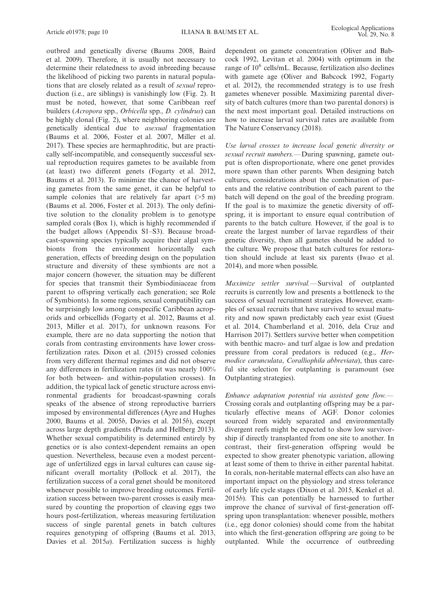outbred and genetically diverse (Baums 2008, Baird et al. 2009). Therefore, it is usually not necessary to determine their relatedness to avoid inbreeding because the likelihood of picking two parents in natural populations that are closely related as a result of sexual reproduction (i.e., are siblings) is vanishingly low (Fig. 2). It must be noted, however, that some Caribbean reef builders (Acropora spp., Orbicella spp., D. cylindrus) can be highly clonal (Fig. 2), where neighboring colonies are genetically identical due to asexual fragmentation (Baums et al. 2006, Foster et al. 2007, Miller et al. 2017). These species are hermaphroditic, but are practically self-incompatible, and consequently successful sexual reproduction requires gametes to be available from (at least) two different genets (Fogarty et al. 2012, Baums et al. 2013). To minimize the chance of harvesting gametes from the same genet, it can be helpful to sample colonies that are relatively far apart  $(5 \text{ m})$ (Baums et al. 2006, Foster et al. 2013). The only definitive solution to the clonality problem is to genotype sampled corals (Box 1), which is highly recommended if the budget allows (Appendix S1–S3). Because broadcast-spawning species typically acquire their algal symbionts from the environment horizontally each generation, effects of breeding design on the population structure and diversity of these symbionts are not a major concern (however, the situation may be different for species that transmit their Symbiodiniaceae from parent to offspring vertically each generation; see Role of Symbionts). In some regions, sexual compatibility can be surprisingly low among conspecific Caribbean acroporids and orbicellids (Fogarty et al. 2012, Baums et al. 2013, Miller et al. 2017), for unknown reasons. For example, there are no data supporting the notion that corals from contrasting environments have lower crossfertilization rates. Dixon et al. (2015) crossed colonies from very different thermal regimes and did not observe any differences in fertilization rates (it was nearly 100% for both between- and within-population crosses). In addition, the typical lack of genetic structure across environmental gradients for broadcast-spawning corals speaks of the absence of strong reproductive barriers imposed by environmental differences (Ayre and Hughes 2000, Baums et al. 2005b, Davies et al. 2015b), except across large depth gradients (Prada and Hellberg 2013). Whether sexual compatibility is determined entirely by genetics or is also context-dependent remains an open question. Nevertheless, because even a modest percentage of unfertilized eggs in larval cultures can cause significant overall mortality (Pollock et al. 2017), the fertilization success of a coral genet should be monitored whenever possible to improve breeding outcomes. Fertilization success between two-parent crosses is easily measured by counting the proportion of cleaving eggs two hours post-fertilization, whereas measuring fertilization success of single parental genets in batch cultures requires genotyping of offspring (Baums et al. 2013, Davies et al. 2015a). Fertilization success is highly

dependent on gamete concentration (Oliver and Babcock 1992, Levitan et al. 2004) with optimum in the range of 10<sup>6</sup> cells/mL. Because, fertilization also declines with gamete age (Oliver and Babcock 1992, Fogarty et al. 2012), the recommended strategy is to use fresh gametes whenever possible. Maximizing parental diversity of batch cultures (more than two parental donors) is the next most important goal. Detailed instructions on how to increase larval survival rates are available from The Nature Conservancy (2018).

Use larval crosses to increase local genetic diversity or sexual recruit numbers.—During spawning, gamete output is often disproportionate, where one genet provides more spawn than other parents. When designing batch cultures, considerations about the combination of parents and the relative contribution of each parent to the batch will depend on the goal of the breeding program. If the goal is to maximize the genetic diversity of offspring, it is important to ensure equal contribution of parents to the batch culture. However, if the goal is to create the largest number of larvae regardless of their genetic diversity, then all gametes should be added to the culture. We propose that batch cultures for restoration should include at least six parents (Iwao et al. 2014), and more when possible.

Maximize settler survival.—Survival of outplanted recruits is currently low and presents a bottleneck to the success of sexual recruitment strategies. However, examples of sexual recruits that have survived to sexual maturity and now spawn predictably each year exist (Guest et al. 2014, Chamberland et al. 2016, dela Cruz and Harrison 2017). Settlers survive better when competition with benthic macro- and turf algae is low and predation pressure from coral predators is reduced (e.g., Hermodice carunculata, Coralliophila abbreviata), thus careful site selection for outplanting is paramount (see Outplanting strategies).

Enhance adaptation potential via assisted gene flow.— Crossing corals and outplanting offspring may be a particularly effective means of AGF. Donor colonies sourced from widely separated and environmentally divergent reefs might be expected to show low survivorship if directly transplanted from one site to another. In contrast, their first-generation offspring would be expected to show greater phenotypic variation, allowing at least some of them to thrive in either parental habitat. In corals, non-heritable maternal effects can also have an important impact on the physiology and stress tolerance of early life cycle stages (Dixon et al. 2015, Kenkel et al. 2015b). This can potentially be harnessed to further improve the chance of survival of first-generation offspring upon transplantation: whenever possible, mothers (i.e., egg donor colonies) should come from the habitat into which the first-generation offspring are going to be outplanted. While the occurrence of outbreeding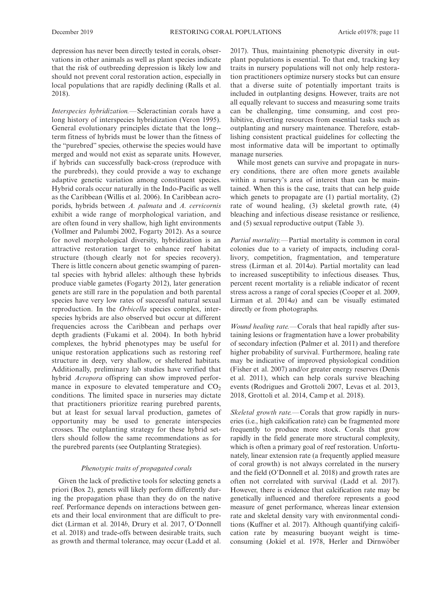depression has never been directly tested in corals, observations in other animals as well as plant species indicate that the risk of outbreeding depression is likely low and should not prevent coral restoration action, especially in local populations that are rapidly declining (Ralls et al. 2018).

Interspecies hybridization.—Scleractinian corals have a long history of interspecies hybridization (Veron 1995). General evolutionary principles dictate that the long- term fitness of hybrids must be lower than the fitness of the "purebred" species, otherwise the species would have merged and would not exist as separate units. However, if hybrids can successfully back-cross (reproduce with the purebreds), they could provide a way to exchange adaptive genetic variation among constituent species. Hybrid corals occur naturally in the Indo-Pacific as well as the Caribbean (Willis et al. 2006). In Caribbean acroporids, hybrids between A. palmata and A. cervicornis exhibit a wide range of morphological variation, and are often found in very shallow, high light environments (Vollmer and Palumbi 2002, Fogarty 2012). As a source for novel morphological diversity, hybridization is an attractive restoration target to enhance reef habitat structure (though clearly not for species recovery). There is little concern about genetic swamping of parental species with hybrid alleles: although these hybrids produce viable gametes (Fogarty 2012), later generation genets are still rare in the population and both parental species have very low rates of successful natural sexual reproduction. In the *Orbicella* species complex, interspecies hybrids are also observed but occur at different frequencies across the Caribbean and perhaps over depth gradients (Fukami et al. 2004). In both hybrid complexes, the hybrid phenotypes may be useful for unique restoration applications such as restoring reef structure in deep, very shallow, or sheltered habitats. Additionally, preliminary lab studies have verified that hybrid Acropora offspring can show improved performance in exposure to elevated temperature and  $CO<sub>2</sub>$ conditions. The limited space in nurseries may dictate that practitioners prioritize rearing purebred parents, but at least for sexual larval production, gametes of opportunity may be used to generate interspecies crosses. The outplanting strategy for these hybrid settlers should follow the same recommendations as for the purebred parents (see Outplanting Strategies).

# Phenotypic traits of propagated corals

Given the lack of predictive tools for selecting genets a priori (Box 2), genets will likely perform differently during the propagation phase than they do on the native reef. Performance depends on interactions between genets and their local environment that are difficult to predict (Lirman et al. 2014b, Drury et al. 2017, O'Donnell et al. 2018) and trade-offs between desirable traits, such as growth and thermal tolerance, may occur (Ladd et al. 2017). Thus, maintaining phenotypic diversity in outplant populations is essential. To that end, tracking key traits in nursery populations will not only help restoration practitioners optimize nursery stocks but can ensure that a diverse suite of potentially important traits is included in outplanting designs. However, traits are not all equally relevant to success and measuring some traits can be challenging, time consuming, and cost prohibitive, diverting resources from essential tasks such as outplanting and nursery maintenance. Therefore, establishing consistent practical guidelines for collecting the most informative data will be important to optimally manage nurseries.

While most genets can survive and propagate in nursery conditions, there are often more genets available within a nursery's area of interest than can be maintained. When this is the case, traits that can help guide which genets to propagate are (1) partial mortality, (2) rate of wound healing, (3) skeletal growth rate, (4) bleaching and infectious disease resistance or resilience, and (5) sexual reproductive output (Table 3).

Partial mortality.—Partial mortality is common in coral colonies due to a variety of impacts, including corallivory, competition, fragmentation, and temperature stress (Lirman et al. 2014a). Partial mortality can lead to increased susceptibility to infectious diseases. Thus, percent recent mortality is a reliable indicator of recent stress across a range of coral species (Cooper et al. 2009, Lirman et al. 2014a) and can be visually estimated directly or from photographs.

Wound healing rate.—Corals that heal rapidly after sustaining lesions or fragmentation have a lower probability of secondary infection (Palmer et al. 2011) and therefore higher probability of survival. Furthermore, healing rate may be indicative of improved physiological condition (Fisher et al. 2007) and/or greater energy reserves (Denis et al. 2011), which can help corals survive bleaching events (Rodrigues and Grottoli 2007, Levas et al. 2013, 2018, Grottoli et al. 2014, Camp et al. 2018).

Skeletal growth rate.—Corals that grow rapidly in nurseries (i.e., high calcification rate) can be fragmented more frequently to produce more stock. Corals that grow rapidly in the field generate more structural complexity, which is often a primary goal of reef restoration. Unfortunately, linear extension rate (a frequently applied measure of coral growth) is not always correlated in the nursery and the field (O'Donnell et al. 2018) and growth rates are often not correlated with survival (Ladd et al. 2017). However, there is evidence that calcification rate may be genetically influenced and therefore represents a good measure of genet performance, whereas linear extension rate and skeletal density vary with environmental conditions (Kuffner et al. 2017). Although quantifying calcification rate by measuring buoyant weight is timeconsuming (Jokiel et al. 1978, Herler and Dirnwöber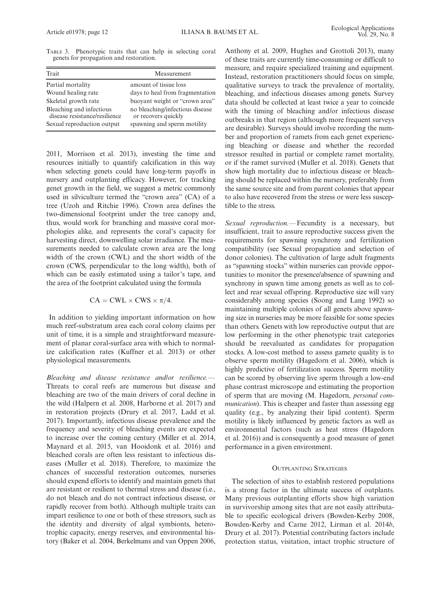TABLE 3. Phenotypic traits that can help in selecting coral genets for propagation and restoration.

| Trait                                                     | Measurement                                            |
|-----------------------------------------------------------|--------------------------------------------------------|
| Partial mortality                                         | amount of tissue loss                                  |
| Wound healing rate                                        | days to heal from fragmentation                        |
| Skeletal growth rate                                      | buoyant weight or "crown area"                         |
| Bleaching and infectious<br>disease resistance/resilience | no bleaching/infectious disease<br>or recovers quickly |
| Sexual reproduction output                                | spawning and sperm motility                            |

2011, Morrison et al. 2013), investing the time and resources initially to quantify calcification in this way when selecting genets could have long-term payoffs in nursery and outplanting efficacy. However, for tracking genet growth in the field, we suggest a metric commonly used in silviculture termed the "crown area" (CA) of a tree (Uzoh and Ritchie 1996). Crown area defines the two-dimensional footprint under the tree canopy and, thus, would work for branching and massive coral morphologies alike, and represents the coral's capacity for harvesting direct, downwelling solar irradiance. The measurements needed to calculate crown area are the long width of the crown (CWL) and the short width of the crown (CWS, perpendicular to the long width), both of which can be easily estimated using a tailor's tape, and the area of the footprint calculated using the formula

$$
CA = CWL \times CWS \times \pi/4.
$$

In addition to yielding important information on how much reef-substratum area each coral colony claims per unit of time, it is a simple and straightforward measurement of planar coral-surface area with which to normalize calcification rates (Kuffner et al. 2013) or other physiological measurements.

Bleaching and disease resistance andlor resilience.— Threats to coral reefs are numerous but disease and bleaching are two of the main drivers of coral decline in the wild (Halpern et al. 2008, Harborne et al. 2017) and in restoration projects (Drury et al. 2017, Ladd et al. 2017). Importantly, infectious disease prevalence and the frequency and severity of bleaching events are expected to increase over the coming century (Miller et al. 2014, Maynard et al. 2015, van Hooidonk et al. 2016) and bleached corals are often less resistant to infectious diseases (Muller et al. 2018). Therefore, to maximize the chances of successful restoration outcomes, nurseries should expend efforts to identify and maintain genets that are resistant or resilient to thermal stress and disease (i.e., do not bleach and do not contract infectious disease, or rapidly recover from both). Although multiple traits can impart resilience to one or both of these stressors, such as the identity and diversity of algal symbionts, heterotrophic capacity, energy reserves, and environmental history (Baker et al. 2004, Berkelmans and van Oppen 2006, Anthony et al. 2009, Hughes and Grottoli 2013), many of these traits are currently time-consuming or difficult to measure, and require specialized training and equipment. Instead, restoration practitioners should focus on simple, qualitative surveys to track the prevalence of mortality, bleaching, and infectious diseases among genets. Survey data should be collected at least twice a year to coincide with the timing of bleaching and/or infectious disease outbreaks in that region (although more frequent surveys are desirable). Surveys should involve recording the number and proportion of ramets from each genet experiencing bleaching or disease and whether the recorded stressor resulted in partial or complete ramet mortality, or if the ramet survived (Muller et al. 2018). Genets that show high mortality due to infectious disease or bleaching should be replaced within the nursery, preferably from the same source site and from parent colonies that appear to also have recovered from the stress or were less susceptible to the stress.

Sexual reproduction.—Fecundity is a necessary, but insufficient, trait to assure reproductive success given the requirements for spawning synchrony and fertilization compatibility (see Sexual propagation and selection of donor colonies). The cultivation of large adult fragments as "spawning stocks" within nurseries can provide opportunities to monitor the presence/absence of spawning and synchrony in spawn time among genets as well as to collect and rear sexual offspring. Reproductive size will vary considerably among species (Soong and Lang 1992) so maintaining multiple colonies of all genets above spawning size in nurseries may be more feasible for some species than others. Genets with low reproductive output that are low performing in the other phenotypic trait categories should be reevaluated as candidates for propagation stocks. A low-cost method to assess gamete quality is to observe sperm motility (Hagedorn et al. 2006), which is highly predictive of fertilization success. Sperm motility can be scored by observing live sperm through a low-end phase contrast microscope and estimating the proportion of sperm that are moving (M. Hagedorn, personal communication). This is cheaper and faster than assessing egg quality (e.g., by analyzing their lipid content). Sperm motility is likely influenced by genetic factors as well as environmental factors (such as heat stress (Hagedorn et al. 2016)) and is consequently a good measure of genet performance in a given environment.

## OUTPLANTING STRATEGIES

The selection of sites to establish restored populations is a strong factor in the ultimate success of outplants. Many previous outplanting efforts show high variation in survivorship among sites that are not easily attributable to specific ecological drivers (Bowden-Kerby 2008, Bowden-Kerby and Carne 2012, Lirman et al. 2014b, Drury et al. 2017). Potential contributing factors include protection status, visitation, intact trophic structure of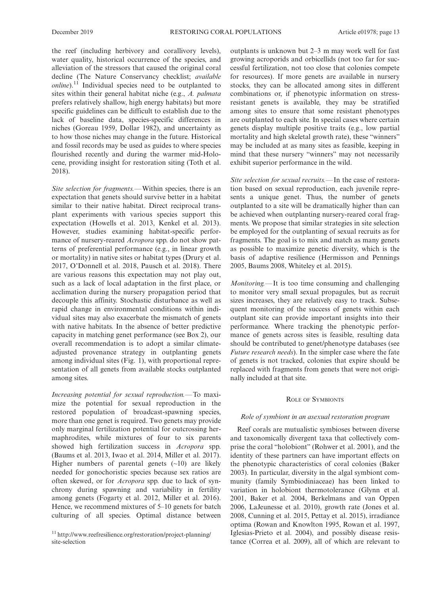the reef (including herbivory and corallivory levels), water quality, historical occurrence of the species, and alleviation of the stressors that caused the original coral decline (The Nature Conservancy checklist; available  $online$ ).<sup>11</sup> Individual species need to be outplanted to sites within their general habitat niche (e.g., A. palmata prefers relatively shallow, high energy habitats) but more specific guidelines can be difficult to establish due to the lack of baseline data, species-specific differences in niches (Goreau 1959, Dollar 1982), and uncertainty as to how those niches may change in the future. Historical and fossil records may be used as guides to where species flourished recently and during the warmer mid-Holocene, providing insight for restoration siting (Toth et al. 2018).

Site selection for fragments.—Within species, there is an expectation that genets should survive better in a habitat similar to their native habitat. Direct reciprocal transplant experiments with various species support this expectation (Howells et al. 2013, Kenkel et al. 2013). However, studies examining habitat-specific performance of nursery-reared Acropora spp. do not show patterns of preferential performance (e.g., in linear growth or mortality) in native sites or habitat types (Drury et al. 2017, O'Donnell et al. 2018, Pausch et al. 2018). There are various reasons this expectation may not play out, such as a lack of local adaptation in the first place, or acclimation during the nursery propagation period that decouple this affinity. Stochastic disturbance as well as rapid change in environmental conditions within individual sites may also exacerbate the mismatch of genets with native habitats. In the absence of better predictive capacity in matching genet performance (see Box 2), our overall recommendation is to adopt a similar climateadjusted provenance strategy in outplanting genets among individual sites (Fig. 1), with proportional representation of all genets from available stocks outplanted among sites.

Increasing potential for sexual reproduction.—To maximize the potential for sexual reproduction in the restored population of broadcast-spawning species, more than one genet is required. Two genets may provide only marginal fertilization potential for outcrossing hermaphrodites, while mixtures of four to six parents showed high fertilization success in Acropora spp. (Baums et al. 2013, Iwao et al. 2014, Miller et al. 2017). Higher numbers of parental genets  $(\sim 10)$  are likely needed for gonochoristic species because sex ratios are often skewed, or for Acropora spp. due to lack of synchrony during spawning and variability in fertility among genets (Fogarty et al. 2012, Miller et al. 2016). Hence, we recommend mixtures of 5–10 genets for batch culturing of all species. Optimal distance between outplants is unknown but 2–3 m may work well for fast growing acroporids and orbicellids (not too far for successful fertilization, not too close that colonies compete for resources). If more genets are available in nursery stocks, they can be allocated among sites in different combinations or, if phenotypic information on stressresistant genets is available, they may be stratified among sites to ensure that some resistant phenotypes are outplanted to each site. In special cases where certain genets display multiple positive traits (e.g., low partial mortality and high skeletal growth rate), these "winners" may be included at as many sites as feasible, keeping in mind that these nursery "winners" may not necessarily exhibit superior performance in the wild.

Site selection for sexual recruits.—In the case of restoration based on sexual reproduction, each juvenile represents a unique genet. Thus, the number of genets outplanted to a site will be dramatically higher than can be achieved when outplanting nursery-reared coral fragments. We propose that similar strategies in site selection be employed for the outplanting of sexual recruits as for fragments. The goal is to mix and match as many genets as possible to maximize genetic diversity, which is the basis of adaptive resilience (Hermisson and Pennings 2005, Baums 2008, Whiteley et al. 2015).

Monitoring.—It is too time consuming and challenging to monitor very small sexual propagules, but as recruit sizes increases, they are relatively easy to track. Subsequent monitoring of the success of genets within each outplant site can provide important insights into their performance. Where tracking the phenotypic performance of genets across sites is feasible, resulting data should be contributed to genet/phenotype databases (see Future research needs). In the simpler case where the fate of genets is not tracked, colonies that expire should be replaced with fragments from genets that were not originally included at that site.

## ROLE OF SYMBIONTS

#### Role of symbiont in an asexual restoration program

Reef corals are mutualistic symbioses between diverse and taxonomically divergent taxa that collectively comprise the coral "holobiont" (Rohwer et al. 2001), and the identity of these partners can have important effects on the phenotypic characteristics of coral colonies (Baker 2003). In particular, diversity in the algal symbiont community (family Symbiodiniaceae) has been linked to variation in holobiont thermotolerance (Glynn et al. 2001, Baker et al. 2004, Berkelmans and van Oppen 2006, LaJeunesse et al. 2010), growth rate (Jones et al. 2008, Cunning et al. 2015, Pettay et al. 2015), irradiance optima (Rowan and Knowlton 1995, Rowan et al. 1997, Iglesias-Prieto et al. 2004), and possibly disease resistance (Correa et al. 2009), all of which are relevant to

<sup>11</sup> http://www.reefresilience.org/restoration/project-planning/ site-selection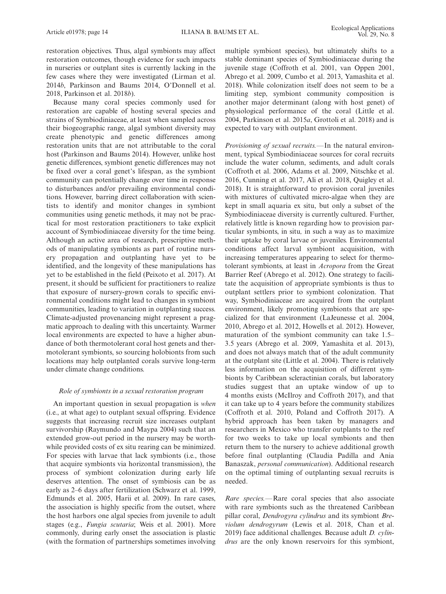restoration objectives. Thus, algal symbionts may affect restoration outcomes, though evidence for such impacts in nurseries or outplant sites is currently lacking in the few cases where they were investigated (Lirman et al. 2014b, Parkinson and Baums 2014, O'Donnell et al. 2018, Parkinson et al. 2018b).

Because many coral species commonly used for restoration are capable of hosting several species and strains of Symbiodiniaceae, at least when sampled across their biogeographic range, algal symbiont diversity may create phenotypic and genetic differences among restoration units that are not attributable to the coral host (Parkinson and Baums 2014). However, unlike host genetic differences, symbiont genetic differences may not be fixed over a coral genet's lifespan, as the symbiont community can potentially change over time in response to disturbances and/or prevailing environmental conditions. However, barring direct collaboration with scientists to identify and monitor changes in symbiont communities using genetic methods, it may not be practical for most restoration practitioners to take explicit account of Symbiodiniaceae diversity for the time being. Although an active area of research, prescriptive methods of manipulating symbionts as part of routine nursery propagation and outplanting have yet to be identified, and the longevity of these manipulations has yet to be established in the field (Peixoto et al. 2017). At present, it should be sufficient for practitioners to realize that exposure of nursery-grown corals to specific environmental conditions might lead to changes in symbiont communities, leading to variation in outplanting success. Climate-adjusted provenancing might represent a pragmatic approach to dealing with this uncertainty. Warmer local environments are expected to have a higher abundance of both thermotolerant coral host genets and thermotolerant symbionts, so sourcing holobionts from such locations may help outplanted corals survive long-term under climate change conditions.

## Role of symbionts in a sexual restoration program

An important question in sexual propagation is when (i.e., at what age) to outplant sexual offspring. Evidence suggests that increasing recruit size increases outplant survivorship (Raymundo and Maypa 2004) such that an extended grow-out period in the nursery may be worthwhile provided costs of ex situ rearing can be minimized. For species with larvae that lack symbionts (i.e., those that acquire symbionts via horizontal transmission), the process of symbiont colonization during early life deserves attention. The onset of symbiosis can be as early as 2–6 days after fertilization (Schwarz et al. 1999, Edmunds et al. 2005, Harii et al. 2009). In rare cases, the association is highly specific from the outset, where the host harbors one algal species from juvenile to adult stages (e.g., Fungia scutaria; Weis et al. 2001). More commonly, during early onset the association is plastic (with the formation of partnerships sometimes involving multiple symbiont species), but ultimately shifts to a stable dominant species of Symbiodiniaceae during the juvenile stage (Coffroth et al. 2001, van Oppen 2001, Abrego et al. 2009, Cumbo et al. 2013, Yamashita et al. 2018). While colonization itself does not seem to be a limiting step, symbiont community composition is another major determinant (along with host genet) of physiological performance of the coral (Little et al. 2004, Parkinson et al. 2015a, Grottoli et al. 2018) and is expected to vary with outplant environment.

Provisioning of sexual recruits.—In the natural environment, typical Symbiodiniaceae sources for coral recruits include the water column, sediments, and adult corals (Coffroth et al. 2006, Adams et al. 2009, Nitschke et al. 2016, Cunning et al. 2017, Ali et al. 2018, Quigley et al. 2018). It is straightforward to provision coral juveniles with mixtures of cultivated micro-algae when they are kept in small aquaria ex situ, but only a subset of the Symbiodiniaceae diversity is currently cultured. Further, relatively little is known regarding how to provision particular symbionts, in situ, in such a way as to maximize their uptake by coral larvae or juveniles. Environmental conditions affect larval symbiont acquisition, with increasing temperatures appearing to select for thermotolerant symbionts, at least in Acropora from the Great Barrier Reef (Abrego et al. 2012). One strategy to facilitate the acquisition of appropriate symbionts is thus to outplant settlers prior to symbiont colonization. That way, Symbiodiniaceae are acquired from the outplant environment, likely promoting symbionts that are specialized for that environment (LaJeunesse et al. 2004, 2010, Abrego et al. 2012, Howells et al. 2012). However, maturation of the symbiont community can take 1.5– 3.5 years (Abrego et al. 2009, Yamashita et al. 2013), and does not always match that of the adult community at the outplant site (Little et al. 2004). There is relatively less information on the acquisition of different symbionts by Caribbean scleractinian corals, but laboratory studies suggest that an uptake window of up to 4 months exists (McIlroy and Coffroth 2017), and that it can take up to 4 years before the community stabilizes (Coffroth et al. 2010, Poland and Coffroth 2017). A hybrid approach has been taken by managers and researchers in Mexico who transfer outplants to the reef for two weeks to take up local symbionts and then return them to the nursery to achieve additional growth before final outplanting (Claudia Padilla and Ania Banaszak, personal communication). Additional research on the optimal timing of outplanting sexual recruits is needed.

Rare species.—Rare coral species that also associate with rare symbionts such as the threatened Caribbean pillar coral, Dendrogyra cylindrus and its symbiont Breviolum dendrogyrum (Lewis et al. 2018, Chan et al. 2019) face additional challenges. Because adult D. cylindrus are the only known reservoirs for this symbiont,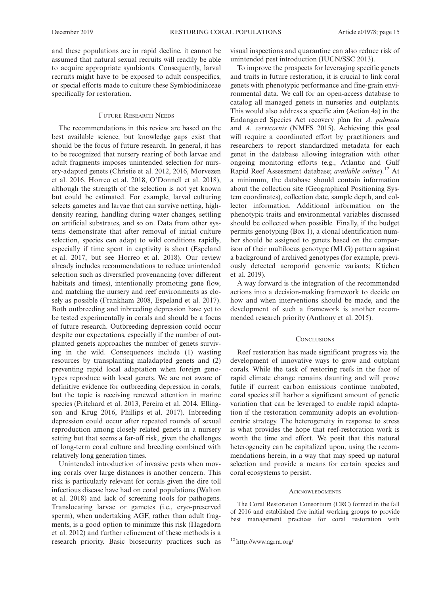and these populations are in rapid decline, it cannot be assumed that natural sexual recruits will readily be able to acquire appropriate symbionts. Consequently, larval recruits might have to be exposed to adult conspecifics, or special efforts made to culture these Symbiodiniaceae specifically for restoration.

## FUTURE RESEARCH NEEDS

The recommendations in this review are based on the best available science, but knowledge gaps exist that should be the focus of future research. In general, it has to be recognized that nursery rearing of both larvae and adult fragments imposes unintended selection for nursery-adapted genets (Christie et al. 2012, 2016, Morvezen et al. 2016, Horreo et al. 2018, O'Donnell et al. 2018), although the strength of the selection is not yet known but could be estimated. For example, larval culturing selects gametes and larvae that can survive netting, highdensity rearing, handling during water changes, settling on artificial substrates, and so on. Data from other systems demonstrate that after removal of initial culture selection, species can adapt to wild conditions rapidly, especially if time spent in captivity is short (Espeland et al. 2017, but see Horreo et al. 2018). Our review already includes recommendations to reduce unintended selection such as diversified provenancing (over different habitats and times), intentionally promoting gene flow, and matching the nursery and reef environments as closely as possible (Frankham 2008, Espeland et al. 2017). Both outbreeding and inbreeding depression have yet to be tested experimentally in corals and should be a focus of future research. Outbreeding depression could occur despite our expectations, especially if the number of outplanted genets approaches the number of genets surviving in the wild. Consequences include (1) wasting resources by transplanting maladapted genets and (2) preventing rapid local adaptation when foreign genotypes reproduce with local genets. We are not aware of definitive evidence for outbreeding depression in corals, but the topic is receiving renewed attention in marine species (Pritchard et al. 2013, Pereira et al. 2014, Ellingson and Krug 2016, Phillips et al. 2017). Inbreeding depression could occur after repeated rounds of sexual reproduction among closely related genets in a nursery setting but that seems a far-off risk, given the challenges of long-term coral culture and breeding combined with relatively long generation times.

Unintended introduction of invasive pests when moving corals over large distances is another concern. This risk is particularly relevant for corals given the dire toll infectious disease have had on coral populations (Walton et al. 2018) and lack of screening tools for pathogens. Translocating larvae or gametes (i.e., cryo-preserved sperm), when undertaking AGF, rather than adult fragments, is a good option to minimize this risk (Hagedorn et al. 2012) and further refinement of these methods is a research priority. Basic biosecurity practices such as visual inspections and quarantine can also reduce risk of unintended pest introduction (IUCN/SSC 2013).

To improve the prospects for leveraging specific genets and traits in future restoration, it is crucial to link coral genets with phenotypic performance and fine-grain environmental data. We call for an open-access database to catalog all managed genets in nurseries and outplants. This would also address a specific aim (Action 4a) in the Endangered Species Act recovery plan for A. palmata and A. cervicornis (NMFS 2015). Achieving this goal will require a coordinated effort by practitioners and researchers to report standardized metadata for each genet in the database allowing integration with other ongoing monitoring efforts (e.g., Atlantic and Gulf Rapid Reef Assessment database; *available online*).<sup>12</sup> At a minimum, the database should contain information about the collection site (Geographical Positioning System coordinates), collection date, sample depth, and collector information. Additional information on the phenotypic traits and environmental variables discussed should be collected when possible. Finally, if the budget permits genotyping (Box 1), a clonal identification number should be assigned to genets based on the comparison of their multilocus genotype (MLG) pattern against a background of archived genotypes (for example, previously detected acroporid genomic variants; Ktichen et al. 2019).

A way forward is the integration of the recommended actions into a decision-making framework to decide on how and when interventions should be made, and the development of such a framework is another recommended research priority (Anthony et al. 2015).

#### **CONCLUSIONS**

Reef restoration has made significant progress via the development of innovative ways to grow and outplant corals. While the task of restoring reefs in the face of rapid climate change remains daunting and will prove futile if current carbon emissions continue unabated, coral species still harbor a significant amount of genetic variation that can be leveraged to enable rapid adaptation if the restoration community adopts an evolutioncentric strategy. The heterogeneity in response to stress is what provides the hope that reef-restoration work is worth the time and effort. We posit that this natural heterogeneity can be capitalized upon, using the recommendations herein, in a way that may speed up natural selection and provide a means for certain species and coral ecosystems to persist.

#### ACKNOWLEDGMENTS

The Coral Restoration Consortium (CRC) formed in the fall of 2016 and established five initial working groups to provide best management practices for coral restoration with

<sup>12</sup> http://www.agrra.org/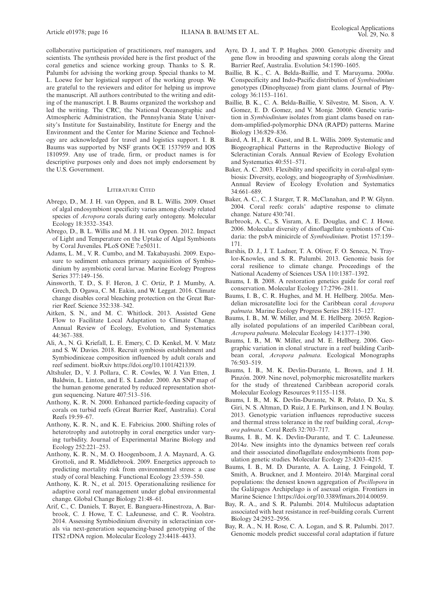collaborative participation of practitioners, reef managers, and scientists. The synthesis provided here is the first product of the coral genetics and science working group. Thanks to S. R. Palumbi for advising the working group. Special thanks to M. L. Loewe for her logistical support of the working group. We are grateful to the reviewers and editor for helping us improve the manuscript. All authors contributed to the writing and editing of the manuscript. I. B. Baums organized the workshop and led the writing. The CRC, the National Oceanographic and Atmospheric Administration, the Pennsylvania State University's Institute for Sustainability, Institute for Energy and the Environment and the Center for Marine Science and Technology are acknowledged for travel and logistics support. I. B. Baums was supported by NSF grants OCE 1537959 and IOS 1810959. Any use of trade, firm, or product names is for descriptive purposes only and does not imply endorsement by the U.S. Government.

#### LITERATURE CITED

- Abrego, D., M. J. H. van Oppen, and B. L. Willis. 2009. Onset of algal endosymbiont specificity varies among closely related species of Acropora corals during early ontogeny. Molecular Ecology 18:3532–3543.
- Abrego, D., B. L. Willis and M. J. H. van Oppen. 2012. Impact of Light and Temperature on the Uptake of Algal Symbionts by Coral Juveniles. PLoS ONE 7:e50311.
- Adams, L. M., V. R. Cumbo, and M. Takabayashi. 2009. Exposure to sediment enhances primary acquisition of Symbiodinium by asymbiotic coral larvae. Marine Ecology Progress Series 377:149–156.
- Ainsworth, T. D., S. F. Heron, J. C. Ortiz, P. J. Mumby, A. Grech, D. Ogawa, C. M. Eakin, and W. Leggat. 2016. Climate change disables coral bleaching protection on the Great Barrier Reef. Science 352:338–342.
- Aitken, S. N., and M. C. Whitlock. 2013. Assisted Gene Flow to Facilitate Local Adaptation to Climate Change. Annual Review of Ecology, Evolution, and Systematics 44:367–388.
- Ali, A., N. G. Kriefall, L. E. Emery, C. D. Kenkel, M. V. Matz and S. W. Davies. 2018. Recruit symbiosis establishment and Symbiodiniceae composition influenced by adult corals and reef sediment. bioRxiv [https://doi.org/10.1101/421339.](https://doi.org/10.1101/421339)
- Altshuler, D., V. J. Pollara, C. R. Cowles, W. J. Van Etten, J. Baldwin, L. Linton, and E. S. Lander. 2000. An SNP map of the human genome generated by reduced representation shotgun sequencing. Nature 407:513–516.
- Anthony, K. R. N. 2000. Enhanced particle-feeding capacity of corals on turbid reefs (Great Barrier Reef, Australia). Coral Reefs 19:59–67.
- Anthony, K. R. N., and K. E. Fabricius. 2000. Shifting roles of heterotrophy and autotrophy in coral energetics under varying turbidity. Journal of Experimental Marine Biology and Ecology 252:221–253.
- Anthony, K. R. N., M. O. Hoogenboom, J. A. Maynard, A. G. Grottoli, and R. Middlebrook. 2009. Energetics approach to predicting mortality risk from environmental stress: a case study of coral bleaching. Functional Ecology 23:539–550.
- Anthony, K. R. N., et al. 2015. Operationalizing resilience for adaptive coral reef management under global environmental change. Global Change Biology 21:48–61.
- Arif, C., C. Daniels, T. Bayer, E. Banguera-Hinestroza, A. Barbrook, C. J. Howe, T. C. LaJeunesse, and C. R. Voolstra. 2014. Assessing Symbiodinium diversity in scleractinian corals via next-generation sequencing-based genotyping of the ITS2 rDNA region. Molecular Ecology 23:4418–4433.
- Ayre, D. J., and T. P. Hughes. 2000. Genotypic diversity and gene flow in brooding and spawning corals along the Great Barrier Reef, Australia. Evolution 54:1590–1605.
- Baillie, B. K., C. A. Belda-Baillie, and T. Maruyama. 2000a. Conspecificity and Indo-Pacific distribution of Symbiodinium genotypes (Dinophyceae) from giant clams. Journal of Phycology 36:1153–1161.
- Baillie, B. K., C. A. Belda-Baillie, V. Silvestre, M. Sison, A. V. Gomez, E. D. Gomez, and V. Monje. 2000b. Genetic variation in Symbiodinium isolates from giant clams based on random-amplified-polymorphic DNA (RAPD) patterns. Marine Biology 136:829–836.
- Baird, A. H., J. R. Guest, and B. L. Willis. 2009. Systematic and Biogeographical Patterns in the Reproductive Biology of Scleractinian Corals. Annual Review of Ecology Evolution and Systematics 40:551–571.
- Baker, A. C. 2003. Flexibility and specificity in coral-algal symbiosis: Diversity, ecology, and biogeography of Symbiodinium. Annual Review of Ecology Evolution and Systematics 34:661–689.
- Baker, A. C., C. J. Starger, T. R. McClanahan, and P. W. Glynn. 2004. Coral reefs: corals' adaptive response to climate change. Nature 430:741.
- Barbrook, A. C., S. Visram, A. E. Douglas, and C. J. Howe. 2006. Molecular diversity of dinoflagellate symbionts of Cnidaria: the psbA minicircle of Symbiodinium. Protist 157:159– 171.
- Barshis, D. J., J. T. Ladner, T. A. Oliver, F. O. Seneca, N. Traylor-Knowles, and S. R. Palumbi. 2013. Genomic basis for coral resilience to climate change. Proceedings of the National Academy of Sciences USA 110:1387–1392.
- Baums, I. B. 2008. A restoration genetics guide for coral reef conservation. Molecular Ecology 17:2796–2811.
- Baums, I. B., C. R. Hughes, and M. H. Hellberg. 2005a. Mendelian microsatellite loci for the Caribbean coral Acropora palmata. Marine Ecology Progress Series 288:115–127.
- Baums, I. B., M. W. Miller, and M. E. Hellberg. 2005b. Regionally isolated populations of an imperiled Caribbean coral, Acropora palmata. Molecular Ecology 14:1377–1390.
- Baums, I. B., M. W. Miller, and M. E. Hellberg. 2006. Geographic variation in clonal structure in a reef building Caribbean coral, Acropora palmata. Ecological Monographs 76:503–519.
- Baums, I. B., M. K. Devlin-Durante, L. Brown, and J. H. Pinzón. 2009. Nine novel, polymorphic microsatellite markers for the study of threatened Caribbean acroporid corals. Molecular Ecology Resources 9:1155–1158.
- Baums, I. B., M. K. Devlin-Durante, N. R. Polato, D. Xu, S. Giri, N. S. Altman, D. Ruiz, J. E. Parkinson, and J. N. Boulay. 2013. Genotypic variation influences reproductive success and thermal stress tolerance in the reef building coral, Acropora palmata. Coral Reefs 32:703–717.
- Baums, I. B., M. K. Devlin-Durante, and T. C. LaJeunesse. 2014a. New insights into the dynamics between reef corals and their associated dinoflagellate endosymbionts from population genetic studies. Molecular Ecology 23:4203–4215.
- Baums, I. B., M. D. Durante, A. A. Laing, J. Feingold, T. Smith, A. Bruckner, and J. Monteiro. 2014b. Marginal coral populations: the densest known aggregation of Pocillopora in the Galapagos Archipelago is of asexual origin. Frontiers in Marine Science 1[:https://doi.org/10.3389/fmars.2014.00059.](https://doi.org/10.3389/fmars.2014.00059)
- Bay, R. A., and S. R. Palumbi. 2014. Multilocus adaptation associated with heat resistance in reef-building corals. Current Biology 24:2952–2956.
- Bay, R. A., N. H. Rose, C. A. Logan, and S. R. Palumbi. 2017. Genomic models predict successful coral adaptation if future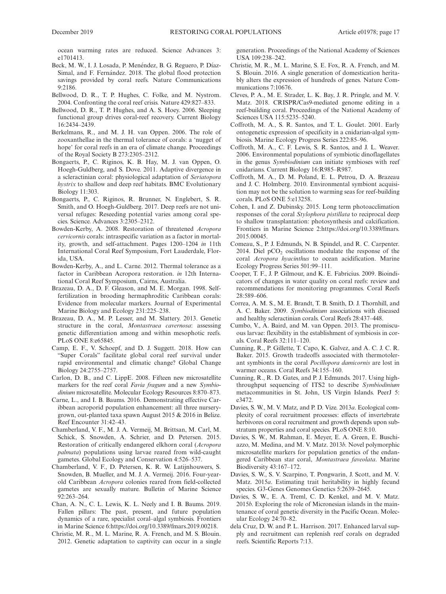ocean warming rates are reduced. Science Advances 3: e1701413.

- Beck, M. W., I. J. Losada, P. Menéndez, B. G. Reguero, P. Díaz-Simal, and F. Fernández. 2018. The global flood protection savings provided by coral reefs. Nature Communications 9:2186.
- Bellwood, D. R., T. P. Hughes, C. Folke, and M. Nystrom. 2004. Confronting the coral reef crisis. Nature 429:827–833.
- Bellwood, D. R., T. P. Hughes, and A. S. Hoey. 2006. Sleeping functional group drives coral-reef recovery. Current Biology 16:2434–2439.
- Berkelmans, R., and M. J. H. van Oppen. 2006. The role of zooxanthellae in the thermal tolerance of corals: a 'nugget of hope' for coral reefs in an era of climate change. Proceedings of the Royal Society B 273:2305–2312.
- Bongaerts, P., C. Riginos, K. B. Hay, M. J. van Oppen, O. Hoegh-Guldberg, and S. Dove. 2011. Adaptive divergence in a scleractinian coral: physiological adaptation of Seriatopora hystrix to shallow and deep reef habitats. BMC Evolutionary Biology 11:303.
- Bongaerts, P., C. Riginos, R. Brunner, N. Englebert, S. R. Smith, and O. Hoegh-Guldberg. 2017. Deep reefs are not universal refuges: Reseeding potential varies among coral species. Science. Advances 3:2305–2312.
- Bowden-Kerby, A. 2008. Restoration of threatened Acropora cervicornis corals: intraspecific variation as a factor in mortality, growth, and self-attachment. Pages 1200–1204 in 11th International Coral Reef Symposium, Fort Lauderdale, Florida, USA.
- Bowden-Kerby, A., and L. Carne. 2012. Thermal tolerance as a factor in Caribbean Acropora restoration. in 12th International Coral Reef Symposium, Cairns, Australia.
- Brazeau, D. A., D. F. Gleason, and M. E. Morgan. 1998. Selffertilization in brooding hermaphroditic Caribbean corals: Evidence from molecular markers. Journal of Experimental Marine Biology and Ecology 231:225–238.
- Brazeau, D. A., M. P. Lesser, and M. Slattery. 2013. Genetic structure in the coral, Montastraea cavernosa: assessing genetic differentiation among and within mesophotic reefs. PLoS ONE 8:e65845.
- Camp, E. F., V. Schoepf, and D. J. Suggett. 2018. How can "Super Corals" facilitate global coral reef survival under rapid environmental and climatic change? Global Change Biology 24:2755–2757.
- Carlon, D. B., and C. LippE. 2008. Fifteen new microsatellite markers for the reef coral *Favia fragum* and a new *Symbio*dinium microsatellite. Molecular Ecology Resources 8:870–873.
- Carne, L., and I. B. Baums. 2016. Demonstrating effective Caribbean acroporid population enhancement: all three nurserygrown, out-planted taxa spawn August 2015 & 2016 in Belize. Reef Encounter 31:42–43.
- Chamberland, V. F., M. J. A. Vermeij, M. Brittsan, M. Carl, M. Schick, S. Snowden, A. Schrier, and D. Petersen. 2015. Restoration of critically endangered elkhorn coral (Acropora palmata) populations using larvae reared from wild-caught gametes. Global Ecology and Conservation 4:526–537.
- Chamberland, V. F., D. Petersen, K. R. W. Latijnhouwers, S. Snowden, B. Mueller, and M. J. A. Vermeij. 2016. Four-yearold Caribbean Acropora colonies reared from field-collected gametes are sexually mature. Bulletin of Marine Science 92:263–264.
- Chan, A. N., C. L. Lewis, K. L. Neely and I. B. Baums. 2019. Fallen pillars: The past, present, and future population dynamics of a rare, specialist coral–algal symbiosis. Frontiers in Marine Science 6:<https://doi.org/10.3389/fmars.2019.00218>.
- Christie, M. R., M. L. Marine, R. A. French, and M. S. Blouin. 2012. Genetic adaptation to captivity can occur in a single

generation. Proceedings of the National Academy of Sciences USA 109:238–242.

- Christie, M. R., M. L. Marine, S. E. Fox, R. A. French, and M. S. Blouin. 2016. A single generation of domestication heritably alters the expression of hundreds of genes. Nature Communications 7:10676.
- Cleves, P. A., M. E. Strader, L. K. Bay, J. R. Pringle, and M. V. Matz. 2018. CRISPR/Cas9-mediated genome editing in a reef-building coral. Proceedings of the National Academy of Sciences USA 115:5235–5240.
- Coffroth, M. A., S. R. Santos, and T. L. Goulet. 2001. Early ontogenetic expression of specificity in a cnidarian-algal symbiosis. Marine Ecology Progress Series 222:85–96.
- Coffroth, M. A., C. F. Lewis, S. R. Santos, and J. L. Weaver. 2006. Environmental populations of symbiotic dinoflagellates in the genus Symbiodinium can initiate symbioses with reef cnidarians. Current Biology 16:R985–R987.
- Coffroth, M. A., D. M. Poland, E. L. Petrou, D. A. Brazeau and J. C. Holmberg. 2010. Environmental symbiont acquisition may not be the solution to warming seas for reef-building corals. PLoS ONE 5:e13258.
- Cohen, I. and Z. Dubinsky. 2015. Long term photoacclimation responses of the coral Stylophora pistillata to reciprocal deep to shallow transplantation: photosynthesis and calcification. Frontiers in Marine Science 2[:https://doi.org/10.3389/fmars.](https://doi.org/10.3389/fmars.2015.00045) [2015.00045](https://doi.org/10.3389/fmars.2015.00045).
- Comeau, S., P. J. Edmunds, N. B. Spindel, and R. C. Carpenter. 2014. Diel  $pCO<sub>2</sub>$  oscillations modulate the response of the coral Acropora hyacinthus to ocean acidification. Marine Ecology Progress Series 501:99–111.
- Cooper, T. F., J. P. Gilmour, and K. E. Fabricius. 2009. Bioindicators of changes in water quality on coral reefs: review and recommendations for monitoring programmes. Coral Reefs 28:589–606.
- Correa, A. M. S., M. E. Brandt, T. B. Smith, D. J. Thornhill, and A. C. Baker. 2009. Symbiodinium associations with diseased and healthy scleractinian corals. Coral Reefs 28:437–448.
- Cumbo, V., A. Baird, and M. van Oppen. 2013. The promiscuous larvae: flexibility in the establishment of symbiosis in corals. Coral Reefs 32:111–120.
- Cunning, R., P. Gillette, T. Capo, K. Galvez, and A. C. J. C. R. Baker. 2015. Growth tradeoffs associated with thermotolerant symbionts in the coral Pocillopora damicornis are lost in warmer oceans. Coral Reefs 34:155–160.
- Cunning, R., R. D. Gates, and P. J. Edmunds. 2017. Using highthroughput sequencing of ITS2 to describe Symbiodinium metacommunities in St. John, US Virgin Islands. PeerJ 5: e3472.
- Davies, S. W., M. V. Matz, and P. D. Vize. 2013a. Ecological complexity of coral recruitment processes: effects of invertebrate herbivores on coral recruitment and growth depends upon substratum properties and coral species. PLoS ONE 8:10.
- Davies, S. W., M. Rahman, E. Meyer, E. A. Green, E. Buschiazzo, M. Medina, and M. V. Matz. 2013b. Novel polymorphic microsatellite markers for population genetics of the endangered Caribbean star coral, Montastraea faveolata. Marine Biodiversity 43:167–172.
- Davies, S. W., S. V. Scarpino, T. Pongwarin, J. Scott, and M. V. Matz. 2015a. Estimating trait heritability in highly fecund species. G3-Genes Genomes Genetics 5:2639–2645.
- Davies, S. W., E. A. Treml, C. D. Kenkel, and M. V. Matz. 2015b. Exploring the role of Micronesian islands in the maintenance of coral genetic diversity in the Pacific Ocean. Molecular Ecology 24:70–82.
- dela Cruz, D. W. and P. L. Harrison. 2017. Enhanced larval supply and recruitment can replenish reef corals on degraded reefs. Scientific Reports 7:13.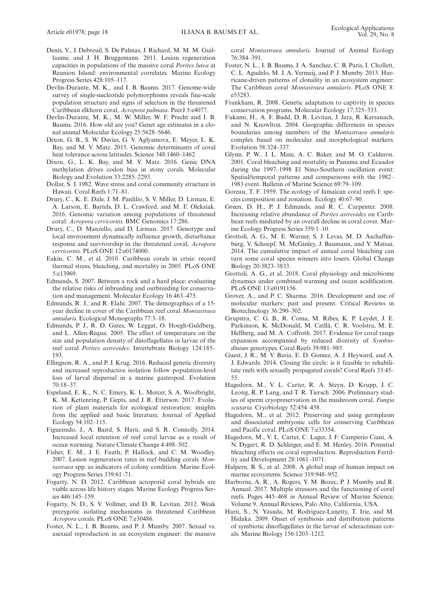- Denis, V., J. Debreuil, S. De Palmas, J. Richard, M. M. M. Guillaume, and J. H. Bruggemann. 2011. Lesion regeneration capacities in populations of the massive coral Porites lutea at Reunion Island: environmental correlates. Marine Ecology Progress Series 428:105–117.
- Devlin-Durante, M. K., and I. B. Baums. 2017. Genome-wide survey of single-nucleotide polymorphisms reveals fine-scale population structure and signs of selection in the threatened Caribbean elkhorn coral, Acropora palmata. PeerJ 5:e4077.
- Devlin-Durante, M. K., M. W. Miller, W. F. Precht and I. B. Baums. 2016. How old are you? Genet age estimates in a clonal animal Molecular Ecology 25:5628–5646.
- Dixon, G. B., S. W. Davies, G. V. Aglyamova, E. Meyer, L. K. Bay, and M. V. Matz. 2015. Genomic determinants of coral heat tolerance across latitudes. Science 348:1460–1462.
- Dixon, G., L. K. Bay, and M. V. Matz. 2016. Genic DNA methylation drives codon bias in stony corals. Molecular Biology and Evolution 33:2285–2293.
- Dollar, S. J. 1982. Wave stress and coral community structure in Hawaii. Coral Reefs 1:71–81.
- Drury, C., K. E. Dale, J. M. Panlilio, S. V. Miller, D. Lirman, E. A. Larson, E. Bartels, D. L. Crawford, and M. F. Oleksiak. 2016. Genomic variation among populations of threatened coral: Acropora cervicornis. BMC Genomics 17:286.
- Drury, C., D. Manzello, and D. Lirman. 2017. Genotype and local environment dynamically influence growth, disturbance response and survivorship in the threatened coral, Acropora cervicornis. PLoS ONE 12:e0174000.
- Eakin, C. M., et al. 2010. Caribbean corals in crisis: record thermal stress, bleaching, and mortality in 2005. PLoS ONE 5:e13969.
- Edmands, S. 2007. Between a rock and a hard place: evaluating the relative risks of inbreeding and outbreeding for conservation and management. Molecular Ecology 16:463–475.
- Edmunds, R. J., and R. Elahi. 2007. The demographics of a 15 year decline in cover of the Caribbean reef coral Montastraea annularis. Ecological Monographs 77:3–18.
- Edmunds, P. J., R. D. Gates, W. Leggat, O. Hoegh-Guldberg, and L. Allen-Requa. 2005. The effect of temperature on the size and population density of dinoflagellates in larvae of the reef coral Porites astreoides. Invertebrate Biology 124:185– 193.
- Ellingson, R. A., and P. J. Krug. 2016. Reduced genetic diversity and increased reproductive isolation follow population-level loss of larval dispersal in a marine gastropod. Evolution 70:18–37.
- Espeland, E. K., N. C. Emery, K. L. Mercer, S. A. Woolbright, K. M. Kettenring, P. Gepts, and J. R. Etterson. 2017. Evolution of plant materials for ecological restoration: insights from the applied and basic literature. Journal of Applied Ecology 54:102–115.
- Figueiredo, J., A. Baird, S. Harii, and S. R. Connolly. 2014. Increased local retention of reef coral larvae as a result of ocean warming. Nature Climate Change 4:498–502.
- Fisher, E. M., J. E. Fauth, P. Hallock, and C. M. Woodley. 2007. Lesion regeneration rates in reef-building corals Montastraea spp. as indicators of colony condition. Marine Ecology Progress Series 339:61–71.
- Fogarty, N. D. 2012. Caribbean acroporid coral hybrids are viable across life history stages. Marine Ecology Progress Series 446:145–159.
- Fogarty, N. D., S. V. Vollmer, and D. R. Levitan. 2012. Weak prezygotic isolating mechanisms in threatened Caribbean Acropora corals. PLoS ONE 7:e30486.
- Foster, N. L., I. B. Baums, and P. J. Mumby. 2007. Sexual vs. asexual reproduction in an ecosystem engineer: the massive

coral Montastraea annularis. Journal of Animal Ecology 76:384–391.

- Foster, N. L., I. B. Baums, J. A. Sanchez, C. B. Paris, I. Chollett, C. L. Agudelo, M. J. A. Vermeij, and P. J. Mumby. 2013. Hurricane-driven patterns of clonality in an ecosystem engineer: The Caribbean coral Montastraea annularis. PLoS ONE 8: e53283.
- Frankham, R. 2008. Genetic adaptation to captivity in species conservation programs. Molecular Ecology 17:325–333.
- Fukami, H., A. F. Budd, D. R. Levitan, J. Jara, R. Kersanach, and N. Knowlton. 2004. Geographic differences in species boundaries among members of the Montastraea annularis complex based on molecular and morphological markers. Evolution 58:324–337.
- Glynn, P. W., J. L. Mate, A. C. Baker, and M. O. Calderon. 2001. Coral bleaching and mortality in Panama and Ecuador during the 1997–1998 El Nino-Southern oscillation event: Spatial/temporal patterns and comparisons with the 1982– 1983 event. Bulletin of Marine Science 69:79–109.
- Goreau, T. F. 1959. The ecology of Jamaican coral reefs I: species composition and zonation. Ecology 40:67–90.
- Green, D. H., P. J. Edmunds, and R. C. Carpenter. 2008. Increasing relative abundance of Porites astreoides on Caribbean reefs mediated by an overall decline in coral cover. Marine Ecology Progress Series 359:1–10.
- Grottoli, A. G., M. E. Warner, S. J. Levas, M. D. Aschaffenburg, V. Schoepf, M. McGinley, J. Baumann, and Y. Matsui. 2014. The cumulative impact of annual coral bleaching can turn some coral species winners into losers. Global Change Biology 20:3823–3833.
- Grottoli, A. G., et al. 2018. Coral physiology and microbiome dynamics under combined warming and ocean acidification. PLoS ONE 13:e0191156.
- Grover, A., and P. C. Sharma. 2016. Development and use of molecular markers: past and present. Critical Reviews in Biotechnology 36:290–302.
- Grupstra, C. G. B., R. Coma, M. Ribes, K. P. Leydet, J. E. Parkinson, K. McDonald, M. Catlla, C. R. Voolstra, M. E. Hellberg, and M. A. Coffroth. 2017. Evidence for coral range expansion accompanied by reduced diversity of Symbiodinium genotypes. Coral Reefs 39:981–985.
- Guest, J. R., M. V. Baria, E. D. Gomez, A. J. Heyward, and A. J. Edwards. 2014. Closing the circle: is it feasible to rehabilitate reefs with sexually propagated corals? Coral Reefs 33:45– 55.
- Hagedorn, M., V. L. Carter, R. A. Steyn, D. Krupp, J. C. Leong, R. P. Lang, and T. R. Tiersch. 2006. Preliminary studies of sperm cryopreservation in the mushroom coral, Fungia scutaria. Cryobiology 52:454–458.
- Hagedorn, M., et al. 2012. Preserving and using germplasm and dissociated embryonic cells for conserving Caribbean and Pacific coral. PLoS ONE 7:e33354.
- Hagedorn, M., V. L. Carter, C. Lager, J. F. Camperio Ciani, A. N. Dygert, R. D. Schleiger, and E. M. Henley. 2016. Potential bleaching effects on coral reproduction. Reproduction Fertility and Development 28:1061–1071.
- Halpern, B. S., et al. 2008. A global map of human impact on marine ecosystems. Science 319:948–952.
- Harborne, A. R., A. Rogers, Y. M. Bozec, P. J. Mumby and R. Annual. 2017. Multiple stressors and the functioning of coral reefs. Pages 445–468 in Annual Review of Marine Science, Volume 9. Annual Reviews, Palo Alto, California, USA.
- Harii, S., N. Yasuda, M. Rodriguez-Lanetty, T. Irie, and M. Hidaka. 2009. Onset of symbiosis and distribution patterns of symbiotic dinoflagellates in the larvae of scleractinian corals. Marine Biology 156:1203–1212.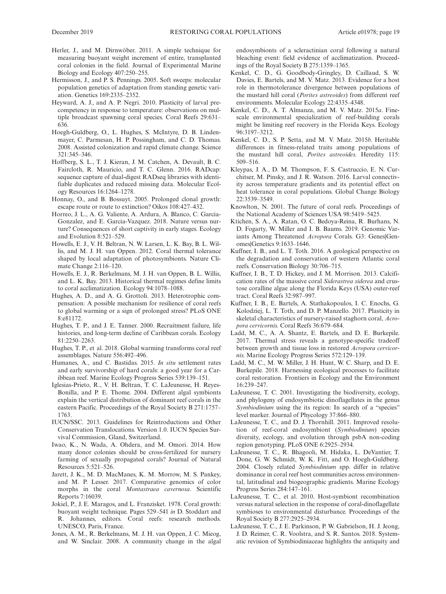- Herler, J., and M. Dirnwöber. 2011. A simple technique for measuring buoyant weight increment of entire, transplanted coral colonies in the field. Journal of Experimental Marine Biology and Ecology 407:250–255.
- Hermisson, J., and P. S. Pennings. 2005. Soft sweeps: molecular population genetics of adaptation from standing genetic variation. Genetics 169:2335–2352.
- Heyward, A. J., and A. P. Negri. 2010. Plasticity of larval precompetency in response to temperature: observations on multiple broadcast spawning coral species. Coral Reefs 29:631– 636.
- Hoegh-Guldberg, O., L. Hughes, S. McIntyre, D. B. Lindenmayer, C. Parmesan, H. P. Possingham, and C. D. Thomas. 2008. Assisted colonization and rapid climate change. Science 321:345–346.
- Hoffberg, S. L., T. J. Kieran, J. M. Catchen, A. Devault, B. C. Faircloth, R. Mauricio, and T. C. Glenn. 2016. RADcap: sequence capture of dual-digest RADseq libraries with identifiable duplicates and reduced missing data. Molecular Ecology Resources 16:1264–1278.
- Honnay, O., and B. Bossuyt. 2005. Prolonged clonal growth: escape route or route to extinction? Oikos 108:427–432.
- Horreo, J. L., A. G. Valiente, A. Ardura, A. Blanco, C. Garcia-Gonzalez, and E. Garcia-Vazquez. 2018. Nature versus nurture? Consequences of short captivity in early stages. Ecology and Evolution 8:521–529.
- Howells, E. J., V. H. Beltran, N. W. Larsen, L. K. Bay, B. L. Willis, and M. J. H. van Oppen. 2012. Coral thermal tolerance shaped by local adaptation of photosymbionts. Nature Climate Change 2:116–120.
- Howells, E. J., R. Berkelmans, M. J. H. van Oppen, B. L. Willis, and L. K. Bay. 2013. Historical thermal regimes define limits to coral acclimatization. Ecology 94:1078–1088.
- Hughes, A. D., and A. G. Grottoli. 2013. Heterotrophic compensation: A possible mechanism for resilience of coral reefs to global warming or a sign of prolonged stress? PLoS ONE 8:e81172.
- Hughes, T. P., and J. E. Tanner. 2000. Recruitment failure, life histories, and long-term decline of Caribbean corals. Ecology 81:2250–2263.
- Hughes, T. P., et al. 2018. Global warming transforms coral reef assemblages. Nature 556:492–496.
- Humanes, A., and C. Bastidas. 2015. In situ settlement rates and early survivorship of hard corals: a good year for a Caribbean reef. Marine Ecology Progress Series 539:139–151.
- Iglesias-Prieto, R., V. H. Beltran, T. C. LaJeunesse, H. Reyes-Bonilla, and P. E. Thome. 2004. Different algal symbionts explain the vertical distribution of dominant reef corals in the eastern Pacific. Proceedings of the Royal Society B 271:1757– 1763.
- IUCN/SSC. 2013. Guidelines for Reintroductions and Other Conservation Translocations. Version 1.0. IUCN Species Survival Commission, Gland, Switzerland.
- Iwao, K., N. Wada, A. Ohdera, and M. Omori. 2014. How many donor colonies should be cross-fertilized for nursery farming of sexually propagated corals? Journal of Natural Resources 5:521–526.
- Jarett, J. K., M. D. MacManes, K. M. Morrow, M. S. Pankey, and M. P. Lesser. 2017. Comparative genomics of color morphs in the coral Montastraea cavernosa. Scientific Reports 7:16039.
- Jokiel, P., J. E. Maragos, and L. Franzisket. 1978. Coral growth: buoyant weight technique. Pages 529–541 in D. Stoddart and R. Johannes, editors. Coral reefs: research methods. UNESCO, Paris, France.
- Jones, A. M., R. Berkelmans, M. J. H. van Oppen, J. C. Mieog, and W. Sinclair. 2008. A community change in the algal

endosymbionts of a scleractinian coral following a natural bleaching event: field evidence of acclimatization. Proceedings of the Royal Society B 275:1359–1365.

- Kenkel, C. D., G. Goodbody-Gringley, D. Caillaud, S. W. Davies, E. Bartels, and M. V. Matz. 2013. Evidence for a host role in thermotolerance divergence between populations of the mustard hill coral (Porites astreoides) from different reef environments. Molecular Ecology 22:4335–4348.
- Kenkel, C. D., A. T. Almanza, and M. V. Matz. 2015a. Finescale environmental specialization of reef-building corals might be limiting reef recovery in the Florida Keys. Ecology 96:3197–3212.
- Kenkel, C. D., S. P. Setta, and M. V. Matz. 2015b. Heritable differences in fitness-related traits among populations of the mustard hill coral, Porites astreoides. Heredity 115: 509–516.
- Kleypas, J. A., D. M. Thompson, F. S. Castruccio, E. N. Curchitser, M. Pinsky, and J. R. Watson. 2016. Larval connectivity across temperature gradients and its potential effect on heat tolerance in coral populations. Global Change Biology 22:3539–3549.
- Knowlton, N. 2001. The future of coral reefs. Proceedings of the National Academy of Sciences USA 98:5419–5425.
- Ktichen, S. A., A. Ratan, O. C. Bedoya-Reina, R. Burhans, N. D. Fogarty, W. Miller and I. B. Baums. 2019. Genomic Variants Among Threatened Acropora Corals. G3: Genes|Genomes|Genetics 9:1633–1646.
- Kuffner, I. B., and L. T. Toth. 2016. A geological perspective on the degradation and conservation of western Atlantic coral reefs. Conservation Biology 30:706–715.
- Kuffner, I. B., T. D. Hickey, and J. M. Morrison. 2013. Calcification rates of the massive coral Siderastrea siderea and crustose coralline algae along the Florida Keys (USA) outer-reef tract. Coral Reefs 32:987–997.
- Kuffner, I. B., E. Bartels, A. Stathakopoulos, I. C. Enochs, G. Kolodziej, L. T. Toth, and D. P. Manzello. 2017. Plasticity in skeletal characteristics of nursery-raised staghorn coral, Acropora cervicornis. Coral Reefs 36:679–684.
- Ladd, M. C., A. A. Shantz, E. Bartels, and D. E. Burkepile. 2017. Thermal stress reveals a genotype-specific tradeoff between growth and tissue loss in restored Acropora cervicornis. Marine Ecology Progress Series 572:129–139.
- Ladd, M. C., M. W. Miller, J. H. Hunt, W. C. Sharp, and D. E. Burkepile. 2018. Harnessing ecological processes to facilitate coral restoration. Frontiers in Ecology and the Environment 16:239–247.
- LaJeunesse, T. C. 2001. Investigating the biodiversity, ecology, and phylogeny of endosymbiotic dinoflagellates in the genus Symbiodinium using the its region: In search of a "species" level marker. Journal of Phycology 37:866–880.
- LaJeunesse, T. C., and D. J. Thornhill. 2011. Improved resolution of reef-coral endosymbiont (Symbiodinium) species diversity, ecology, and evolution through psbA non-coding region genotyping. PLoS ONE 6:2925–2934.
- LaJeunesse, T. C., R. Bhagooli, M. Hidaka, L. DeVantier, T. Done, G. W. Schmidt, W. K. Fitt, and O. Hoegh-Guldberg. 2004. Closely related Symbiodinium spp. differ in relative dominance in coral reef host communities across environmental, latitudinal and biogeographic gradients. Marine Ecology Progress Series 284:147–161.
- LaJeunesse, T. C., et al. 2010. Host-symbiont recombination versus natural selection in the response of coral-dinoflagellate symbioses to environmental disturbance. Proceedings of the Royal Society B 277:2925–2934.
- LaJeunesse, T. C., J. E. Parkinson, P. W. Gabrielson, H. J. Jeong, J. D. Reimer, C. R. Voolstra, and S. R. Santos. 2018. Systematic revision of Symbiodiniaceae highlights the antiquity and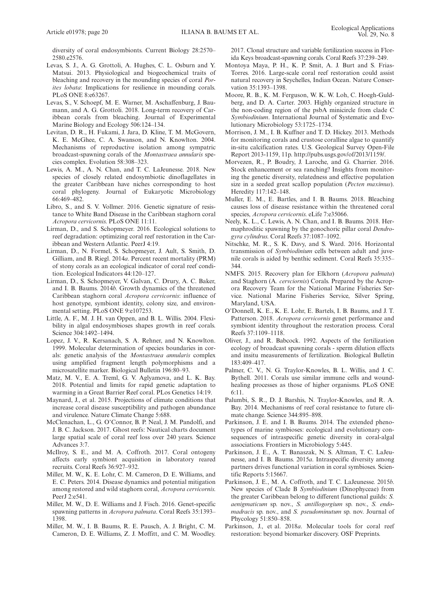diversity of coral endosymbionts. Current Biology 28:2570– 2580.e2576.

- Levas, S. J., A. G. Grottoli, A. Hughes, C. L. Osburn and Y. Matsui. 2013. Physiological and biogeochemical traits of bleaching and recovery in the mounding species of coral Porites lobata: Implications for resilience in mounding corals. PLoS ONE 8:e63267.
- Levas, S., V. Schoepf, M. E. Warner, M. Aschaffenburg, J. Baumann, and A. G. Grottoli. 2018. Long-term recovery of Caribbean corals from bleaching. Journal of Experimental Marine Biology and Ecology 506:124–134.
- Levitan, D. R., H. Fukami, J. Jara, D. Kline, T. M. McGovern, K. E. McGhee, C. A. Swanson, and N. Knowlton. 2004. Mechanisms of reproductive isolation among sympatric broadcast-spawning corals of the Montastraea annularis species complex. Evolution 58:308–323.
- Lewis, A. M., A. N. Chan, and T. C. LaJeunesse. 2018. New species of closely related endosymbiotic dinoflagellates in the greater Caribbean have niches corresponding to host coral phylogeny. Journal of Eukaryotic Microbiology 66:469–482.
- Libro, S., and S. V. Vollmer. 2016. Genetic signature of resistance to White Band Disease in the Caribbean staghorn coral Acropora cervicornis. PLoS ONE 11:11.
- Lirman, D., and S. Schopmeyer. 2016. Ecological solutions to reef degradation: optimizing coral reef restoration in the Caribbean and Western Atlantic. PeerJ 4:19.
- Lirman, D., N. Formel, S. Schopmeyer, J. Ault, S. Smith, D. Gilliam, and B. Riegl. 2014a. Percent recent mortality (PRM) of stony corals as an ecological indicator of coral reef condition. Ecological Indicators 44:120–127.
- Lirman, D., S. Schopmeyer, V. Galvan, C. Drury, A. C. Baker, and I. B. Baums. 2014b. Growth dynamics of the threatened Caribbean staghorn coral Acropora cervicornis: influence of host genotype, symbiont identity, colony size, and environmental setting. PLoS ONE 9:e107253.
- Little, A. F., M. J. H. van Oppen, and B. L. Willis. 2004. Flexibility in algal endosymbioses shapes growth in reef corals. Science 304:1492–1494.
- Lopez, J. V., R. Kersanach, S. A. Rehner, and N. Knowlton. 1999. Molecular determination of species boundaries in corals: genetic analysis of the Montastraea annularis complex using amplified fragment length polymorphisms and a microsatellite marker. Biological Bulletin 196:80–93.
- Matz, M. V., E. A. Treml, G. V. Aglyamova, and L. K. Bay. 2018. Potential and limits for rapid genetic adaptation to warming in a Great Barrier Reef coral. PLos Genetics 14:19.
- Maynard, J., et al. 2015. Projections of climate conditions that increase coral disease susceptibility and pathogen abundance and virulence. Nature Climate Change 5:688.
- McClenachan, L., G. O'Connor, B. P. Neal, J. M. Pandolfi, and J. B. C. Jackson. 2017. Ghost reefs: Nautical charts document large spatial scale of coral reef loss over 240 years. Science Advances 3:7.
- McIlroy, S. E., and M. A. Coffroth. 2017. Coral ontogeny affects early symbiont acquisition in laboratory reared recruits. Coral Reefs 36:927–932.
- Miller, M. W., K. E. Lohr, C. M. Cameron, D. E. Williams, and E. C. Peters. 2014. Disease dynamics and potential mitigation among restored and wild staghorn coral, Acropora cervicornis. PeerJ 2:e541.
- Miller, M. W., D. E. Williams and J. Fisch. 2016. Genet-specific spawning patterns in Acropora palmata. Coral Reefs 35:1393-1398.
- Miller, M. W., I. B. Baums, R. E. Pausch, A. J. Bright, C. M. Cameron, D. E. Williams, Z. J. Moffitt, and C. M. Woodley.

2017. Clonal structure and variable fertilization success in Florida Keys broadcast-spawning corals. Coral Reefs 37:239–249.

- Montoya Maya, P. H., K. P. Smit, A. J. Burt and S. Frias-Torres. 2016. Large-scale coral reef restoration could assist natural recovery in Seychelles, Indian Ocean. Nature Conservation 35:1393–1398.
- Moore, R. B., K. M. Ferguson, W. K. W. Loh, C. Hoegh-Guldberg, and D. A. Carter. 2003. Highly organized structure in the non-coding region of the psbA minicircle from clade C Symbiodinium. International Journal of Systematic and Evolutionary Microbiology 53:1725–1734.
- Morrison, J. M., I. B. Kuffner and T. D. Hickey. 2013. Methods for monitoring corals and crustose coralline algae to quantify in-situ calcification rates. U.S. Geological Survey Open-File Report 2013-1159, 11p.<http://pubs.usgs.gov/of/2013/1159/>.
- Morvezen, R., P. Boudry, J. Laroche, and G. Charrier. 2016. Stock enhancement or sea ranching? Insights from monitoring the genetic diversity, relatedness and effective population size in a seeded great scallop population (Pecten maximus). Heredity 117:142–148.
- Muller, E. M., E. Bartles, and I. B. Baums. 2018. Bleaching causes loss of disease resistance within the threatened coral species, Acropora cervicornis. eLife 7:e35066.
- Neely, K. L., C. Lewis, A. N. Chan, and I. B. Baums. 2018. Hermaphroditic spawning by the gonochoric pillar coral Dendrogyra cylindrus. Coral Reefs 37:1087–1092.
- Nitschke, M. R., S. K. Davy, and S. Ward. 2016. Horizontal transmission of Symbiodinium cells between adult and juvenile corals is aided by benthic sediment. Coral Reefs 35:335– 344.
- NMFS. 2015. Recovery plan for Elkhorn (Acropora palmata) and Staghorn (A. cervciornis) Corals. Prepared by the Acropora Recovery Team for the National Marine Fisheries Service. National Marine Fisheries Service, Silver Spring, Maryland, USA.
- O'Donnell, K. E., K. E. Lohr, E. Bartels, I. B. Baums, and J. T. Patterson. 2018. Acropora cervicornis genet performance and symbiont identity throughout the restoration process. Coral Reefs 37:1109–1118.
- Oliver, J., and R. Babcock. 1992. Aspects of the fertilization ecology of broadcast spawning corals - sperm dilution effects and insitu measurements of fertilization. Biological Bulletin 183:409–417.
- Palmer, C. V., N. G. Traylor-Knowles, B. L. Willis, and J. C. Bythell. 2011. Corals use similar immune cells and woundhealing processes as those of higher organisms. PLoS ONE 6:11.
- Palumbi, S. R., D. J. Barshis, N. Traylor-Knowles, and R. A. Bay. 2014. Mechanisms of reef coral resistance to future climate change. Science 344:895–898.
- Parkinson, J. E. and I. B. Baums. 2014. The extended phenotypes of marine symbioses: ecological and evolutionary consequences of intraspecific genetic diversity in coral-algal associations. Frontiers in Microbiology 5:445.
- Parkinson, J. E., A. T. Banaszak, N. S. Altman, T. C. LaJeunesse, and I. B. Baums. 2015a. Intraspecific diversity among partners drives functional variation in coral symbioses. Scientific Reports 5:15667.
- Parkinson, J. E., M. A. Coffroth, and T. C. LaJeunesse. 2015b. New species of Clade B Symbiodinium (Dinophyceae) from the greater Caribbean belong to different functional guilds: S. aenigmaticum sp. nov., S. antillogorgium sp. nov., S. endomadracis sp. nov., and S. pseudominutum sp. nov. Journal of Phycology 51:850–858.
- Parkinson, J., et al. 2018a. Molecular tools for coral reef restoration: beyond biomarker discovery. OSF Preprints.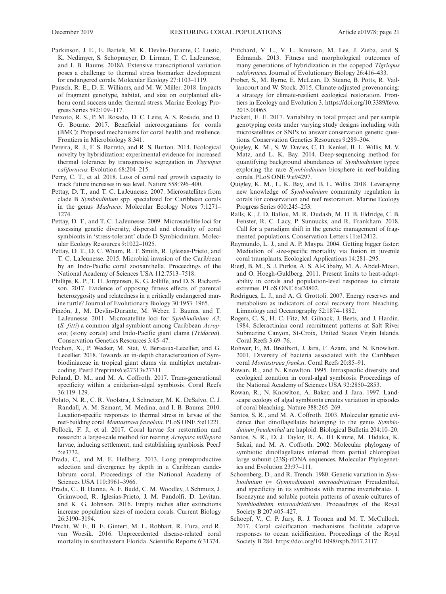- Parkinson, J. E., E. Bartels, M. K. Devlin-Durante, C. Lustic, K. Nedimyer, S. Schopmeyer, D. Lirman, T. C. LaJeunesse, and I. B. Baums. 2018b. Extensive transcriptional variation poses a challenge to thermal stress biomarker development for endangered corals. Molecular Ecology 27:1103–1119.
- Pausch, R. E., D. E. Williams, and M. W. Miller. 2018. Impacts of fragment genotype, habitat, and size on outplanted elkhorn coral success under thermal stress. Marine Ecology Progress Series 592:109–117.
- Peixoto, R. S., P. M. Rosado, D. C. Leite, A. S. Rosado, and D. G. Bourne. 2017. Beneficial microorganisms for corals (BMC): Proposed mechanisms for coral health and resilience. Frontiers in Microbiology 8:341.
- Pereira, R. J., F. S. Barreto, and R. S. Burton. 2014. Ecological novelty by hybridization: experimental evidence for increased thermal tolerance by transgressive segregation in Tigriopus californicus. Evolution 68:204–215.
- Perry, C. T., et al. 2018. Loss of coral reef growth capacity to track future increases in sea level. Nature 558:396–400.
- Pettay, D. T., and T. C. LaJeunesse. 2007. Microsatellites from clade B Symbiodinium spp. specialized for Caribbean corals in the genus Madracis. Molecular Ecology Notes 7:1271– 1274.
- Pettay, D. T., and T. C. LaJeunesse. 2009. Microsatellite loci for assessing genetic diversity, dispersal and clonality of coral symbionts in 'stress-tolerant' clade D Symbiodinium. Molecular Ecology Resources 9:1022–1025.
- Pettay, D. T., D. C. Wham, R. T. Smith, R. Iglesias-Prieto, and T. C. LaJeunesse. 2015. Microbial invasion of the Caribbean by an Indo-Pacific coral zooxanthella. Proceedings of the National Academy of Sciences USA 112:7513–7518.
- Phillips, K. P., T. H. Jorgensen, K. G. Jolliffe, and D. S. Richardson. 2017. Evidence of opposing fitness effects of parental heterozygosity and relatedness in a critically endangered marine turtle? Journal of Evolutionary Biology 30:1953–1965.
- Pinzón, J., M. Devlin-Durante, M. Weber, I. Baums, and T. LaJeunesse. 2011. Microsatellite loci for Symbiodinium A3; (S. fitti) a common algal symbiont among Caribbean Acropora; (stony corals) and Indo-Pacific giant clams (Tridacna). Conservation Genetics Resources 3:45–47.
- Pochon, X., P. Wecker, M. Stat, V. Berteaux-Lecellier, and G. Lecellier. 2018. Towards an in-depth characterization of Symbiodiniaceae in tropical giant clams via multiplex metabarcoding. PeerJ Preprints6:e27313v27311.
- Poland, D. M., and M. A. Coffroth. 2017. Trans-generational specificity within a cnidarian–algal symbiosis. Coral Reefs  $36.119 - 129$
- Polato, N. R., C. R. Voolstra, J. Schnetzer, M. K. DeSalvo, C. J. Randall, A. M. Szmant, M. Medina, and I. B. Baums. 2010. Location-specific responses to thermal stress in larvae of the reef-building coral Montastraea faveolata. PLoS ONE 5:e11221.
- Pollock, F. J., et al. 2017. Coral larvae for restoration and research: a large-scale method for rearing Acropora millepora larvae, inducing settlement, and establishing symbiosis. PeerJ 5:e3732.
- Prada, C., and M. E. Hellberg. 2013. Long prereproductive selection and divergence by depth in a Caribbean candelabrum coral. Proceedings of the National Academy of Sciences USA 110:3961–3966.
- Prada, C., B. Hanna, A. F. Budd, C. M. Woodley, J. Schmutz, J. Grimwood, R. Iglesias-Prieto, J. M. Pandolfi, D. Levitan, and K. G. Johnson. 2016. Empty niches after extinctions increase population sizes of modern corals. Current Biology 26:3190–3194.
- Precht, W. F., B. E. Gintert, M. L. Robbart, R. Fura, and R. van Woesik. 2016. Unprecedented disease-related coral mortality in southeastern Florida. Scientific Reports 6:31374.
- Pritchard, V. L., V. L. Knutson, M. Lee, J. Zieba, and S. Edmands. 2013. Fitness and morphological outcomes of many generations of hybridization in the copepod Tigriopus californicus. Journal of Evolutionary Biology 26:416–433.
- Prober, S., M. Byrne, E. McLean, D. Steane, B. Potts, R. Vaillancourt and W. Stock. 2015. Climate-adjusted provenancing: a strategy for climate-resilient ecological restoration. Frontiers in Ecology and Evolution 3. [https://doi.org/10.3389/fevo.](https://doi.org/10.3389/fevo.2015.00065) [2015.00065](https://doi.org/10.3389/fevo.2015.00065).
- Puckett, E. E. 2017. Variability in total project and per sample genotyping costs under varying study designs including with microsatellites or SNPs to answer conservation genetic questions. Conservation Genetics Resources 9:289–304.
- Quigley, K. M., S. W. Davies, C. D. Kenkel, B. L. Willis, M. V. Matz, and L. K. Bay. 2014. Deep-sequencing method for quantifying background abundances of Symbiodinium types: exploring the rare Symbiodinium biosphere in reef-building corals. PLoS ONE 9:e94297.
- Quigley, K. M., L. K. Bay, and B. L. Willis. 2018. Leveraging new knowledge of Symbiodinium community regulation in corals for conservation and reef restoration. Marine Ecology Progress Series 600:245–253.
- Ralls, K., J. D. Ballou, M. R. Dudash, M. D. B. Eldridge, C. B. Fenster, R. C. Lacy, P. Sunnucks, and R. Frankham. 2018. Call for a paradigm shift in the genetic management of fragmented populations. Conservation Letters 11:e12412.
- Raymundo, L. J., and A. P. Maypa. 2004. Getting bigger faster: Mediation of size-specific mortality via fusion in juvenile coral transplants. Ecological Applications 14:281–295.
- Riegl, B. M., S. J. Purkis, A. S. Al-Cibahy, M. A. Abdel-Moati, and O. Hoegh-Guldberg. 2011. Present limits to heat-adaptability in corals and population-level responses to climate extremes. PLoS ONE 6:e24802.
- Rodrigues, L. J., and A. G. Grottoli. 2007. Energy reserves and metabolism as indicators of coral recovery from bleaching. Limnology and Oceanography 52:1874–1882.
- Rogers, C. S., H. C. Fitz, M. Gilnack, J. Beets, and J. Hardin. 1984. Scleractinian coral recruitment patterns at Salt River Submarine Canyon, St-Croix, United States Virgin Islands. Coral Reefs 3:69–76.
- Rohwer, F., M. Breitbart, J. Jara, F. Azam, and N. Knowlton. 2001. Diversity of bacteria associated with the Caribbean coral Montastraea franksi. Coral Reefs 20:85–91.
- Rowan, R., and N. Knowlton. 1995. Intraspecific diversity and ecological zonation in coral-algal symbiosis. Proceedings of the National Academy of Sciences USA 92:2850–2853.
- Rowan, R., N. Knowlton, A. Baker, and J. Jara. 1997. Landscape ecology of algal symbionts creates variation in episodes of coral bleaching. Nature 388:265–269.
- Santos, S. R., and M. A. Coffroth. 2003. Molecular genetic evidence that dinoflagellates belonging to the genus Symbiodinium freudenthal are haploid. Biological Bulletin 204:10-20.
- Santos, S. R., D. J. Taylor, R. A. III Kinzie, M. Hidaka, K. Sakai, and M. A. Coffroth. 2002. Molecular phylogeny of symbiotic dinoflagellates inferred from partial chloroplast large subunit (23S)-rDNA sequences. Molecular Phylogenetics and Evolution 23:97–111.
- Schoenberg, D., and R. Trench. 1980. Genetic variation in Symbiodinium (= Gymnodinium) microadriaticum Freudenthal, and specificity in its symbiosis with marine invertebrates. I. Isoenzyme and soluble protein patterns of axenic cultures of Symbiodinium microadriaticum. Proceedings of the Royal Society B 207:405–427.
- Schoepf, V., C. P. Jury, R. J. Toonen and M. T. McCulloch. 2017. Coral calcification mechanisms facilitate adaptive responses to ocean acidification. Proceedings of the Royal Society B 284.<https://doi.org/10.1098/rspb.2017.2117>.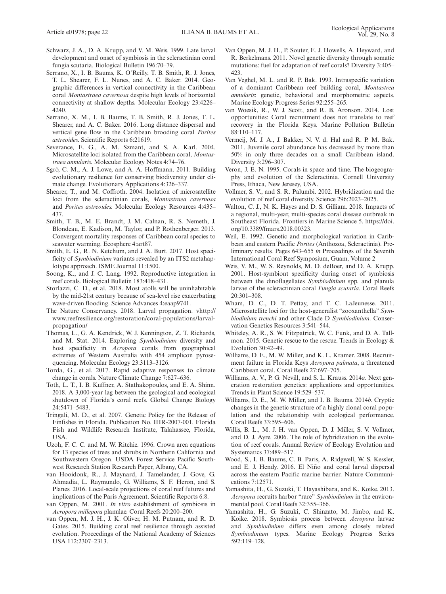- Schwarz, J. A., D. A. Krupp, and V. M. Weis. 1999. Late larval development and onset of symbiosis in the scleractinian coral fungia scutaria. Biological Bulletin 196:70–79.
- Serrano, X., I. B. Baums, K. O'Reilly, T. B. Smith, R. J. Jones, T. L. Shearer, F. L. Nunes, and A. C. Baker. 2014. Geographic differences in vertical connectivity in the Caribbean coral Montastraea cavernosa despite high levels of horizontal connectivity at shallow depths. Molecular Ecology 23:4226– 4240.
- Serrano, X. M., I. B. Baums, T. B. Smith, R. J. Jones, T. L. Shearer, and A. C. Baker. 2016. Long distance dispersal and vertical gene flow in the Caribbean brooding coral Porites astreoides. Scientific Reports 6:21619.
- Severance, E. G., A. M. Szmant, and S. A. Karl. 2004. Microsatellite loci isolated from the Caribbean coral, Montastraea annularis. Molecular Ecology Notes 4:74–76.
- Sgrò, C. M., A. J. Lowe, and A. A. Hoffmann. 2011. Building evolutionary resilience for conserving biodiversity under climate change. Evolutionary Applications 4:326–337.
- Shearer, T., and M. Coffroth. 2004. Isolation of microsatellite loci from the scleractinian corals, Montastraea cavernosa and Porites astreoides. Molecular Ecology Resources 4:435– 437.
- Smith, T. B., M. E. Brandt, J. M. Calnan, R. S. Nemeth, J. Blondeau, E. Kadison, M. Taylor, and P. Rothenberger. 2013. Convergent mortality responses of Caribbean coral species to seawater warming. Ecosphere 4:art87.
- Smith, E. G., R. N. Ketchum, and J. A. Burt. 2017. Host specificity of Symbiodinium variants revealed by an ITS2 metahaplotype approach. ISME Journal 11:1500.
- Soong, K., and J. C. Lang. 1992. Reproductive integration in reef corals. Biological Bulletin 183:418–431.
- Storlazzi, C. D., et al. 2018. Most atolls will be uninhabitable by the mid-21st century because of sea-level rise exacerbating wave-driven flooding. Science Advances 4:eaap9741.
- The Nature Conservancy. 2018. Larval propagation. vhttp:// www.reefresilience.org/restoration/coral-populations/larvalpropagation/
- Thomas, L., G. A. Kendrick, W. J. Kennington, Z. T. Richards, and M. Stat. 2014. Exploring Symbiodinium diversity and host specificity in Acropora corals from geographical extremes of Western Australia with 454 amplicon pyrosequencing. Molecular Ecology 23:3113–3126.
- Torda, G., et al. 2017. Rapid adaptive responses to climate change in corals. Nature Climate Change 7:627–636.
- Toth, L. T., I. B. Kuffner, A. Stathakopoulos, and E. A. Shinn. 2018. A 3,000-year lag between the geological and ecological shutdown of Florida's coral reefs. Global Change Biology 24:5471–5483.
- Tringali, M. D., et al. 2007. Genetic Policy for the Release of Finfishes in Florida. Publication No. IHR-2007-001. Florida Fish and Wildlife Research Institute, Talahassee, Florida, USA.
- Uzoh, F. C. C. and M. W. Ritchie. 1996. Crown area equations for 13 species of trees and shrubs in Northern California and Southwestern Oregon. USDA Forest Service Pacific Southwest Research Station Research Paper, Albany, CA.
- van Hooidonk, R., J. Maynard, J. Tamelander, J. Gove, G. Ahmadia, L. Raymundo, G. Williams, S. F. Heron, and S. Planes. 2016. Local-scale projections of coral reef futures and implications of the Paris Agreement. Scientific Reports 6:8.
- van Oppen, M. 2001. In vitro establishment of symbiosis in Acropora millepora planulae. Coral Reefs 20:200–200.
- van Oppen, M. J. H., J. K. Oliver, H. M. Putnam, and R. D. Gates. 2015. Building coral reef resilience through assisted evolution. Proceedings of the National Academy of Sciences USA 112:2307–2313.
- Van Oppen, M. J. H., P. Souter, E. J. Howells, A. Heyward, and R. Berkelmans. 2011. Novel genetic diversity through somatic mutations: fuel for adaptation of reef corals? Diversity 3:405– 423.
- Van Veghel, M. L. and R. P. Bak. 1993. Intraspecific variation of a dominant Caribbean reef building coral, Montastrea annularis: genetic, behavioral and morphometric aspects. Marine Ecology Progress Series 92:255–265.
- van Woesik, R., W. J. Scott, and R. B. Aronson. 2014. Lost opportunities: Coral recruitment does not translate to reef recovery in the Florida Keys. Marine Pollution Bulletin 88:110–117.
- Vermeij, M. J. A., J. Bakker, N. V. d. Hal and R. P. M. Bak. 2011. Juvenile coral abundance has decreased by more than 50% in only three decades on a small Caribbean island. Diversity 3:296–307.
- Veron, J. E. N. 1995. Corals in space and time. The biogeography and evolution of the Scleractinia. Cornell University Press, Ithaca, New Jeresey, USA.
- Vollmer, S. V., and S. R. Palumbi. 2002. Hybridization and the evolution of reef coral diversity. Science 296:2023–2025.
- Walton, C. J., N. K. Hayes and D. S. Gilliam. 2018. Impacts of a regional, multi-year, multi-species coral disease outbreak in Southeast Florida. Frontiers in Marine Science 5. [https://doi.](https://doi.org/10.3389/fmars.2018.00323) [org/10.3389/fmars.2018.00323](https://doi.org/10.3389/fmars.2018.00323).
- Weil, E. 1992. Genetic and morphological variation in Caribbean and eastern Pacific Porites (Anthozoa, Scleractinia). Preliminary results. Pages 643–655 in Proceedings of the Seventh International Coral Reef Symposium, Guam, Volume 2
- Weis, V. M., W. S. Reynolds, M. D. deBoer, and D. A. Krupp. 2001. Host-symbiont specificity during onset of symbiosis between the dinoflagellates Symbiodinium spp. and planula larvae of the scleractinian coral Fungia scutaria. Coral Reefs 20:301–308.
- Wham, D. C., D. T. Pettay, and T. C. LaJeunesse. 2011. Microsatellite loci for the host-generalist "zooxanthella" Symbiodinium trenchi and other Clade D Symbiodinium. Conservation Genetics Resources 3:541–544.
- Whiteley, A. R., S. W. Fitzpatrick, W. C. Funk, and D. A. Tallmon. 2015. Genetic rescue to the rescue. Trends in Ecology & Evolution 30:42–49.
- Williams, D. E., M. W. Miller, and K. L. Kramer. 2008. Recruitment failure in Florida Keys Acropora palmata, a threatened Caribbean coral. Coral Reefs 27:697–705.
- Williams, A. V., P. G. Nevill, and S. L. Krauss. 2014a. Next generation restoration genetics: applications and opportunities. Trends in Plant Science 19:529–537.
- Williams, D. E., M. W. Miller, and I. B. Baums. 2014b. Cryptic changes in the genetic structure of a highly clonal coral population and the relationship with ecological performance. Coral Reefs 33:595–606.
- Willis, B. L., M. J. H. van Oppen, D. J. Miller, S. V. Vollmer, and D. J. Ayre. 2006. The role of hybridization in the evolution of reef corals. Annual Review of Ecology Evolution and Systematics 37:489–517.
- Wood, S., I. B. Baums, C. B. Paris, A. Ridgwell, W. S. Kessler, and E. J. Hendy. 2016. El Nino and coral larval dispersal ~ across the eastern Pacific marine barrier. Nature Communications 7:12571.
- Yamashita, H., G. Suzuki, T. Hayashibara, and K. Koike. 2013. Acropora recruits harbor "rare" Symbiodinium in the environmental pool. Coral Reefs 32:355–366.
- Yamashita, H., G. Suzuki, C. Shinzato, M. Jimbo, and K. Koike. 2018. Symbiosis process between Acropora larvae and Symbiodinium differs even among closely related Symbiodinium types. Marine Ecology Progress Series 592:119–128.